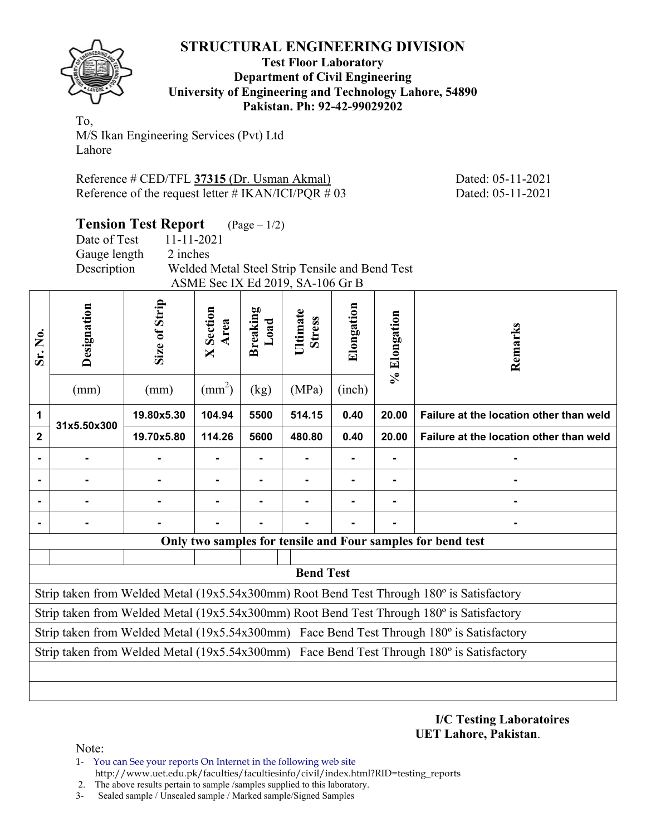

#### **Test Floor Laboratory Department of Civil Engineering University of Engineering and Technology Lahore, 54890 Pakistan. Ph: 92-42-99029202**

To, M/S Ikan Engineering Services (Pvt) Ltd Lahore

Reference # CED/TFL **37315** (Dr. Usman Akmal) Dated: 05-11-2021 Reference of the request letter  $\#$  IKAN/ICI/PQR  $\#$  03 Dated: 05-11-2021

**Tension Test Report** (Page – 1/2) Date of Test 11-11-2021 Gauge length 2 inches Description Welded Metal Steel Strip Tensile and Bend Test

|                      | ASME Sec IX Ed 2019, SA-106 Gr B |               |                      |                         |                           |            |              |                                                                                           |  |  |  |
|----------------------|----------------------------------|---------------|----------------------|-------------------------|---------------------------|------------|--------------|-------------------------------------------------------------------------------------------|--|--|--|
| ,<br>Ž<br><u>ડાં</u> | Designation                      | Size of Strip | Section<br>Area<br>× | <b>Breaking</b><br>Load | Ultimate<br><b>Stress</b> | Elongation | % Elongation | Remarks                                                                                   |  |  |  |
|                      | (mm)                             | (mm)          | $\text{(mm}^2)$      | (kg)                    | (MPa)                     | (inch)     |              |                                                                                           |  |  |  |
| 1                    | 31x5.50x300                      | 19.80x5.30    | 104.94               | 5500                    | 514.15                    | 0.40       | 20.00        | Failure at the location other than weld                                                   |  |  |  |
| $\mathbf{2}$         |                                  | 19.70x5.80    | 114.26               | 5600                    | 480.80                    | 0.40       | 20.00        | Failure at the location other than weld                                                   |  |  |  |
|                      |                                  |               |                      |                         |                           |            |              |                                                                                           |  |  |  |
|                      |                                  |               |                      |                         |                           |            |              |                                                                                           |  |  |  |
|                      |                                  |               |                      |                         |                           |            |              |                                                                                           |  |  |  |
|                      |                                  |               |                      |                         |                           |            |              |                                                                                           |  |  |  |
|                      |                                  |               |                      |                         |                           |            |              | Only two samples for tensile and Four samples for bend test                               |  |  |  |
|                      |                                  |               |                      |                         |                           |            |              |                                                                                           |  |  |  |
|                      |                                  |               |                      |                         | <b>Bend Test</b>          |            |              |                                                                                           |  |  |  |
|                      |                                  |               |                      |                         |                           |            |              | Strip taken from Welded Metal (19x5.54x300mm) Root Bend Test Through 180° is Satisfactory |  |  |  |
|                      |                                  |               |                      |                         |                           |            |              | Strip taken from Welded Metal (19x5.54x300mm) Root Bend Test Through 180° is Satisfactory |  |  |  |
|                      |                                  |               |                      |                         |                           |            |              | Strip taken from Welded Metal (19x5.54x300mm) Face Bend Test Through 180° is Satisfactory |  |  |  |
|                      |                                  |               |                      |                         |                           |            |              | Strip taken from Welded Metal (19x5.54x300mm) Face Bend Test Through 180° is Satisfactory |  |  |  |
|                      |                                  |               |                      |                         |                           |            |              |                                                                                           |  |  |  |
|                      |                                  |               |                      |                         |                           |            |              |                                                                                           |  |  |  |

**I/C Testing Laboratoires UET Lahore, Pakistan**.

Note:

1- You can See your reports On Internet in the following web site http://www.uet.edu.pk/faculties/facultiesinfo/civil/index.html?RID=testing\_reports

2. The above results pertain to sample /samples supplied to this laboratory.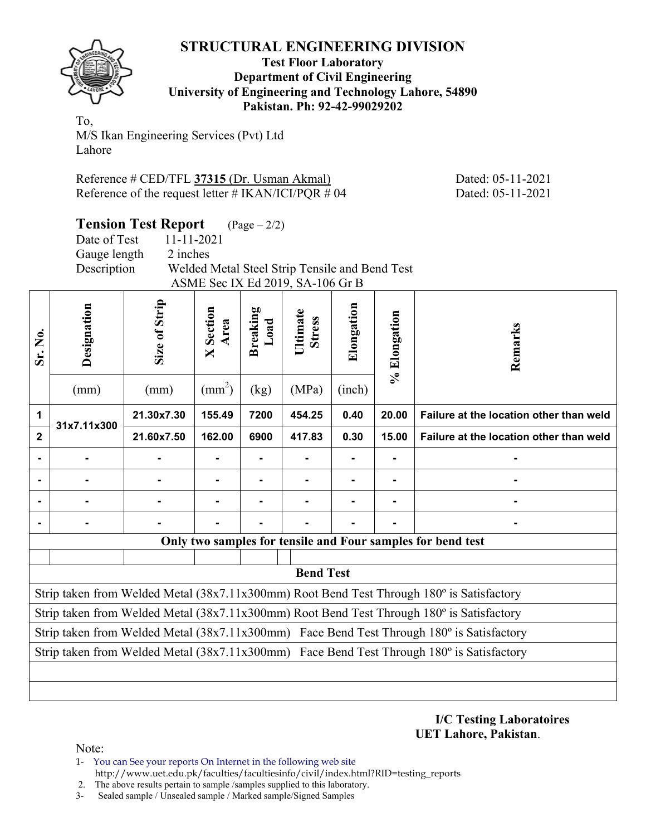

#### **Test Floor Laboratory Department of Civil Engineering University of Engineering and Technology Lahore, 54890 Pakistan. Ph: 92-42-99029202**

To, M/S Ikan Engineering Services (Pvt) Ltd Lahore

Reference # CED/TFL **37315** (Dr. Usman Akmal) Dated: 05-11-2021 Reference of the request letter # IKAN/ICI/PQR # 04 Dated: 05-11-2021

**Tension Test Report** (Page – 2/2) Date of Test 11-11-2021 Gauge length 2 inches

Description Welded Metal Steel Strip Tensile and Bend Test ASME Sec IX Ed 2019, SA-106 Gr B

| <b>Sr. No.</b> | Designation    | Size of Strip | Section<br>Area<br>$\overline{\mathsf{X}}$ | <b>Breaking</b><br>Load | Ultimate<br><b>Stress</b> | Elongation | % Elongation | Remarks                                                                                   |
|----------------|----------------|---------------|--------------------------------------------|-------------------------|---------------------------|------------|--------------|-------------------------------------------------------------------------------------------|
|                | (mm)           | (mm)          | $\text{(mm}^2)$                            | (kg)                    | (MPa)                     | (inch)     |              |                                                                                           |
| 1              | 31x7.11x300    | 21.30x7.30    | 155.49                                     | 7200                    | 454.25                    | 0.40       | 20.00        | Failure at the location other than weld                                                   |
| 2              |                | 21.60x7.50    | 162.00                                     | 6900                    | 417.83                    | 0.30       | 15.00        | Failure at the location other than weld                                                   |
|                |                |               |                                            |                         | Ξ.                        |            |              |                                                                                           |
|                |                |               |                                            |                         |                           |            |              |                                                                                           |
|                |                |               |                                            |                         |                           |            |              |                                                                                           |
|                | $\blacksquare$ |               |                                            |                         |                           |            |              |                                                                                           |
|                |                |               |                                            |                         |                           |            |              | Only two samples for tensile and Four samples for bend test                               |
|                |                |               |                                            |                         |                           |            |              |                                                                                           |
|                |                |               |                                            |                         | <b>Bend Test</b>          |            |              |                                                                                           |
|                |                |               |                                            |                         |                           |            |              | Strip taken from Welded Metal (38x7.11x300mm) Root Bend Test Through 180° is Satisfactory |
|                |                |               |                                            |                         |                           |            |              | Strip taken from Welded Metal (38x7.11x300mm) Root Bend Test Through 180° is Satisfactory |
|                |                |               |                                            |                         |                           |            |              | Strip taken from Welded Metal (38x7.11x300mm) Face Bend Test Through 180° is Satisfactory |
|                |                |               |                                            |                         |                           |            |              | Strip taken from Welded Metal (38x7.11x300mm) Face Bend Test Through 180° is Satisfactory |
|                |                |               |                                            |                         |                           |            |              |                                                                                           |
|                |                |               |                                            |                         |                           |            |              |                                                                                           |

**I/C Testing Laboratoires UET Lahore, Pakistan**.

Note:

1- You can See your reports On Internet in the following web site http://www.uet.edu.pk/faculties/facultiesinfo/civil/index.html?RID=testing\_reports

2. The above results pertain to sample /samples supplied to this laboratory.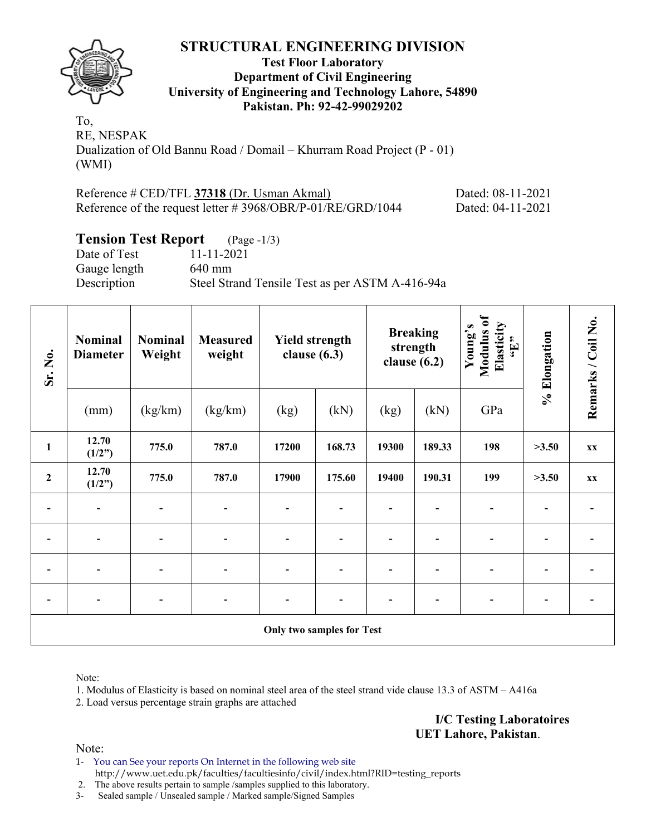

#### **Test Floor Laboratory Department of Civil Engineering University of Engineering and Technology Lahore, 54890 Pakistan. Ph: 92-42-99029202**

To, RE, NESPAK Dualization of Old Bannu Road / Domail – Khurram Road Project (P - 01) (WMI)

| Reference # CED/TFL 37318 (Dr. Usman Akmal)                    | Dated: 08-11-2021 |
|----------------------------------------------------------------|-------------------|
| Reference of the request letter $\# 3968/OBR/P-01/RE/GRD/1044$ | Dated: 04-11-2021 |

# **Tension Test Report** (Page -1/3)

| 11-11-2021                                      |
|-------------------------------------------------|
| $640$ mm                                        |
| Steel Strand Tensile Test as per ASTM A-416-94a |
|                                                 |

| Sr. No.                  | <b>Nominal</b><br><b>Nominal</b><br><b>Measured</b><br>Weight<br>weight<br><b>Diameter</b> |                              | <b>Yield strength</b><br>clause $(6.3)$ |                           | clause $(6.2)$ | <b>Breaking</b><br>strength | Modulus of<br>Elasticity<br>Young's<br>$\mathbf{H}$ | % Elongation | Remarks / Coil No. |    |
|--------------------------|--------------------------------------------------------------------------------------------|------------------------------|-----------------------------------------|---------------------------|----------------|-----------------------------|-----------------------------------------------------|--------------|--------------------|----|
|                          | (mm)                                                                                       | (kg/km)                      | (kg/km)                                 | (kg)                      | (kN)           | (kg)                        | (kN)                                                | GPa          |                    |    |
| $\mathbf{1}$             | 12.70<br>(1/2")                                                                            | 775.0                        | 787.0                                   | 17200                     | 168.73         | 19300                       | 189.33                                              | 198          | >3.50              | XX |
| $\boldsymbol{2}$         | 12.70<br>(1/2")                                                                            | 775.0                        | 787.0                                   | 17900                     | 175.60         | 19400                       | 190.31                                              | 199          | >3.50              | XX |
|                          | $\overline{\phantom{a}}$                                                                   | $\qquad \qquad \blacksquare$ | $\blacksquare$                          | $\overline{\phantom{0}}$  |                |                             |                                                     |              |                    |    |
| $\overline{\phantom{0}}$ |                                                                                            | $\overline{\phantom{0}}$     | $\overline{\phantom{0}}$                | $\overline{\phantom{0}}$  |                | ۰                           |                                                     |              |                    |    |
|                          |                                                                                            | $\blacksquare$               | $\overline{a}$                          | $\blacksquare$            |                | -                           |                                                     |              |                    |    |
|                          |                                                                                            |                              |                                         | -                         |                |                             |                                                     |              |                    |    |
|                          |                                                                                            |                              |                                         | Only two samples for Test |                |                             |                                                     |              |                    |    |

Note:

1. Modulus of Elasticity is based on nominal steel area of the steel strand vide clause 13.3 of ASTM – A416a

2. Load versus percentage strain graphs are attached

**I/C Testing Laboratoires UET Lahore, Pakistan**.

Note:

1- You can See your reports On Internet in the following web site http://www.uet.edu.pk/faculties/facultiesinfo/civil/index.html?RID=testing\_reports

2. The above results pertain to sample /samples supplied to this laboratory.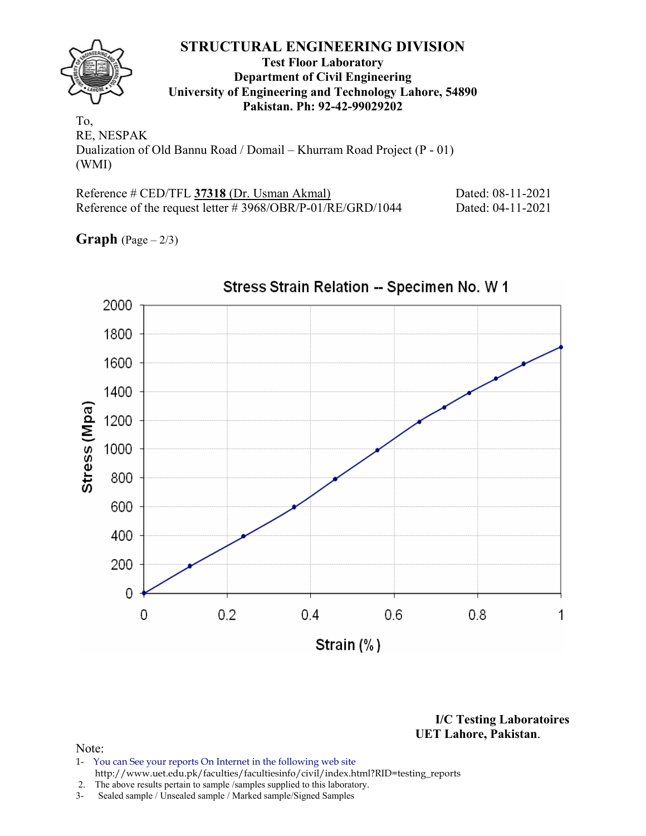

#### **Test Floor Laboratory Department of Civil Engineering University of Engineering and Technology Lahore, 54890 Pakistan. Ph: 92-42-99029202**

To, RE, NESPAK Dualization of Old Bannu Road / Domail – Khurram Road Project (P - 01) (WMI)

| Reference # CED/TFL 37318 (Dr. Usman Akmal)                    | Dated: 08-11-2021 |
|----------------------------------------------------------------|-------------------|
| Reference of the request letter $\# 3968/OBR/P-01/RE/GRD/1044$ | Dated: 04-11-2021 |

**Graph**  $(Page - 2/3)$ 



**I/C Testing Laboratoires UET Lahore, Pakistan**.

- 1- You can See your reports On Internet in the following web site http://www.uet.edu.pk/faculties/facultiesinfo/civil/index.html?RID=testing\_reports
- 2. The above results pertain to sample /samples supplied to this laboratory.
- 3- Sealed sample / Unsealed sample / Marked sample/Signed Samples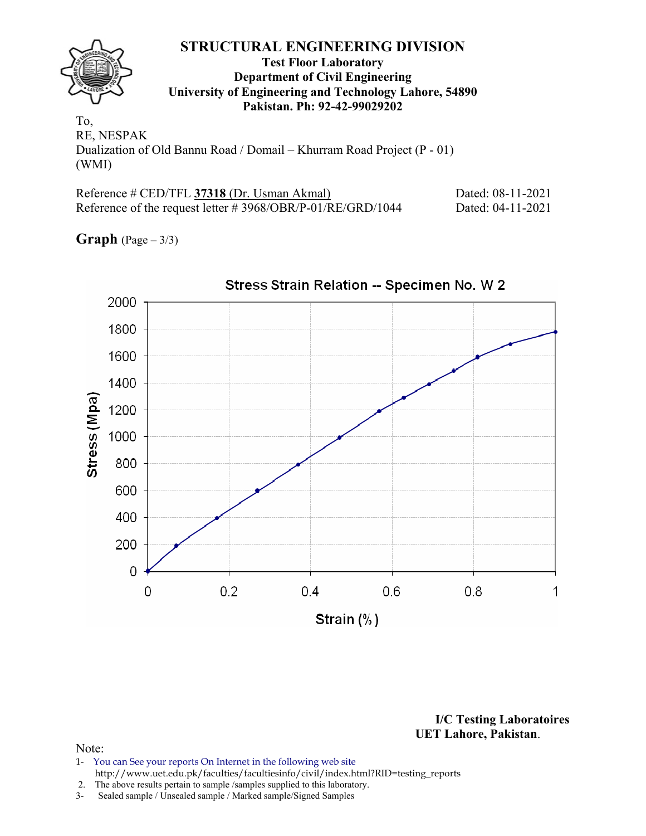

#### **Test Floor Laboratory Department of Civil Engineering University of Engineering and Technology Lahore, 54890 Pakistan. Ph: 92-42-99029202**

To, RE, NESPAK Dualization of Old Bannu Road / Domail – Khurram Road Project (P - 01) (WMI)

| Reference # CED/TFL 37318 (Dr. Usman Akmal)                    | Dated: 08-11-2021 |
|----------------------------------------------------------------|-------------------|
| Reference of the request letter $\# 3968/OBR/P-01/RE/GRD/1044$ | Dated: 04-11-2021 |

**Graph** (Page – 3/3)



**I/C Testing Laboratoires UET Lahore, Pakistan**.

- 1- You can See your reports On Internet in the following web site http://www.uet.edu.pk/faculties/facultiesinfo/civil/index.html?RID=testing\_reports
- 2. The above results pertain to sample /samples supplied to this laboratory.
- 3- Sealed sample / Unsealed sample / Marked sample/Signed Samples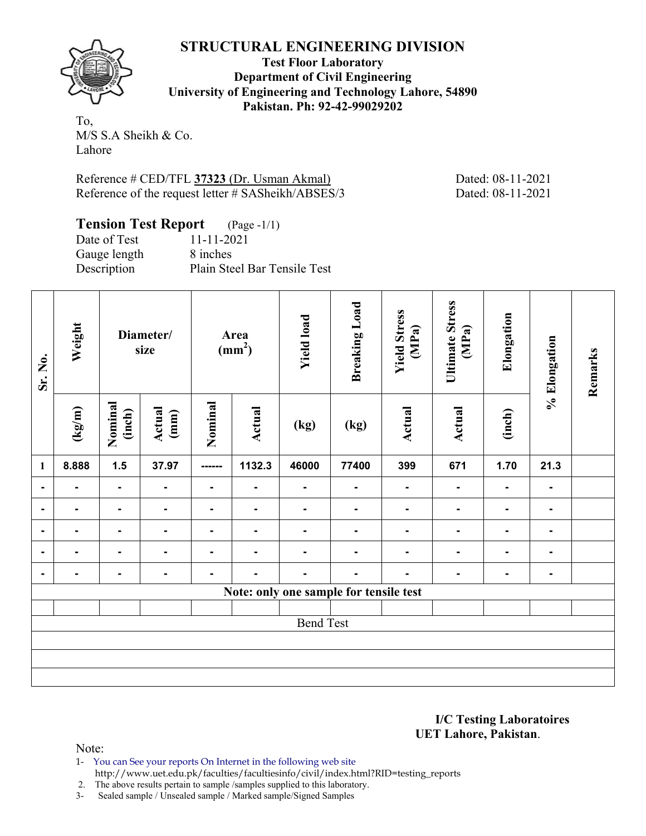**Test Floor Laboratory Department of Civil Engineering University of Engineering and Technology Lahore, 54890 Pakistan. Ph: 92-42-99029202** 

To, M/S S.A Sheikh & Co. Lahore

Reference # CED/TFL **37323** (Dr. Usman Akmal) Dated: 08-11-2021 Reference of the request letter # SASheikh/ABSES/3 Dated: 08-11-2021

| <b>Tension Test Report</b> (Page -1/1) |                              |
|----------------------------------------|------------------------------|
| Date of Test                           | 11-11-2021                   |
| Gauge length                           | 8 inches                     |
| Description                            | Plain Steel Bar Tensile Test |

| Sr. No.        | Weight | Diameter/<br>size |                          | Area<br>(mm <sup>2</sup> ) |                | <b>Yield load</b> | <b>Breaking Load</b>                   | <b>Yield Stress</b><br>(MPa) | <b>Ultimate Stress</b><br>(MPa) | Elongation     | % Elongation   | Remarks |
|----------------|--------|-------------------|--------------------------|----------------------------|----------------|-------------------|----------------------------------------|------------------------------|---------------------------------|----------------|----------------|---------|
|                | (kg/m) | Nominal<br>(inch) | Actual<br>(mm)           | Nominal                    | <b>Actual</b>  | (kg)              | (kg)                                   | Actual                       | Actual                          | (inch)         |                |         |
| $\mathbf{1}$   | 8.888  | 1.5               | 37.97                    | ------                     | 1132.3         | 46000             | 77400                                  | 399                          | 671                             | 1.70           | 21.3           |         |
| $\blacksquare$ |        | $\blacksquare$    | $\overline{\phantom{a}}$ | $\blacksquare$             | ۰              | $\blacksquare$    | $\blacksquare$                         | $\blacksquare$               | $\blacksquare$                  | $\blacksquare$ | ۰              |         |
| -              |        | $\blacksquare$    | $\blacksquare$           | ۰                          | $\blacksquare$ |                   |                                        |                              |                                 | $\blacksquare$ | ۰.             |         |
|                |        | $\blacksquare$    | ۰                        |                            |                |                   |                                        |                              |                                 |                | $\blacksquare$ |         |
| $\blacksquare$ |        | Ξ.                |                          |                            |                |                   |                                        |                              |                                 |                |                |         |
|                |        |                   | $\blacksquare$           |                            |                |                   |                                        |                              |                                 |                |                |         |
|                |        |                   |                          |                            |                |                   | Note: only one sample for tensile test |                              |                                 |                |                |         |
|                |        |                   |                          |                            |                |                   |                                        |                              |                                 |                |                |         |
|                |        |                   |                          |                            |                | <b>Bend Test</b>  |                                        |                              |                                 |                |                |         |
|                |        |                   |                          |                            |                |                   |                                        |                              |                                 |                |                |         |
|                |        |                   |                          |                            |                |                   |                                        |                              |                                 |                |                |         |
|                |        |                   |                          |                            |                |                   |                                        |                              |                                 |                |                |         |

**I/C Testing Laboratoires UET Lahore, Pakistan**.

Note:

1- You can See your reports On Internet in the following web site http://www.uet.edu.pk/faculties/facultiesinfo/civil/index.html?RID=testing\_reports

2. The above results pertain to sample /samples supplied to this laboratory.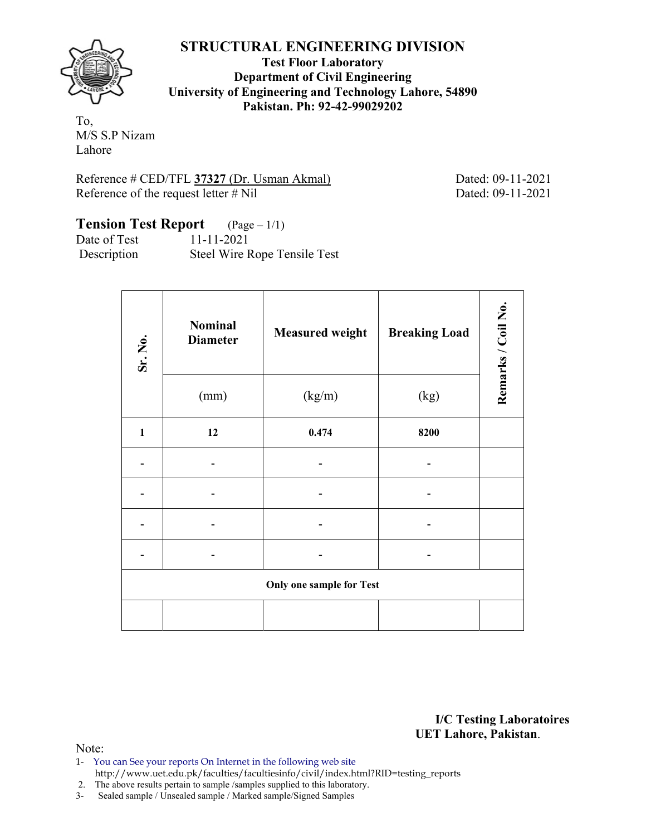

**Test Floor Laboratory Department of Civil Engineering University of Engineering and Technology Lahore, 54890 Pakistan. Ph: 92-42-99029202** 

To, M/S S.P Nizam Lahore

Reference # CED/TFL **37327** (Dr. Usman Akmal) Dated: 09-11-2021 Reference of the request letter # Nil Dated: 09-11-2021

# **Tension Test Report** (Page – 1/1)

Date of Test 11-11-2021 Description Steel Wire Rope Tensile Test

| Sr. No.      | <b>Nominal</b><br><b>Diameter</b> | <b>Measured weight</b>          | <b>Breaking Load</b> | Remarks / Coil No. |
|--------------|-----------------------------------|---------------------------------|----------------------|--------------------|
|              | (mm)                              | (kg/m)                          | (kg)                 |                    |
| $\mathbf{1}$ | 12                                | 0.474                           | 8200                 |                    |
|              |                                   |                                 |                      |                    |
|              |                                   |                                 |                      |                    |
|              |                                   |                                 |                      |                    |
|              |                                   |                                 |                      |                    |
|              |                                   | <b>Only one sample for Test</b> |                      |                    |
|              |                                   |                                 |                      |                    |

**I/C Testing Laboratoires UET Lahore, Pakistan**.

- 1- You can See your reports On Internet in the following web site http://www.uet.edu.pk/faculties/facultiesinfo/civil/index.html?RID=testing\_reports
- 2. The above results pertain to sample /samples supplied to this laboratory.
- 3- Sealed sample / Unsealed sample / Marked sample/Signed Samples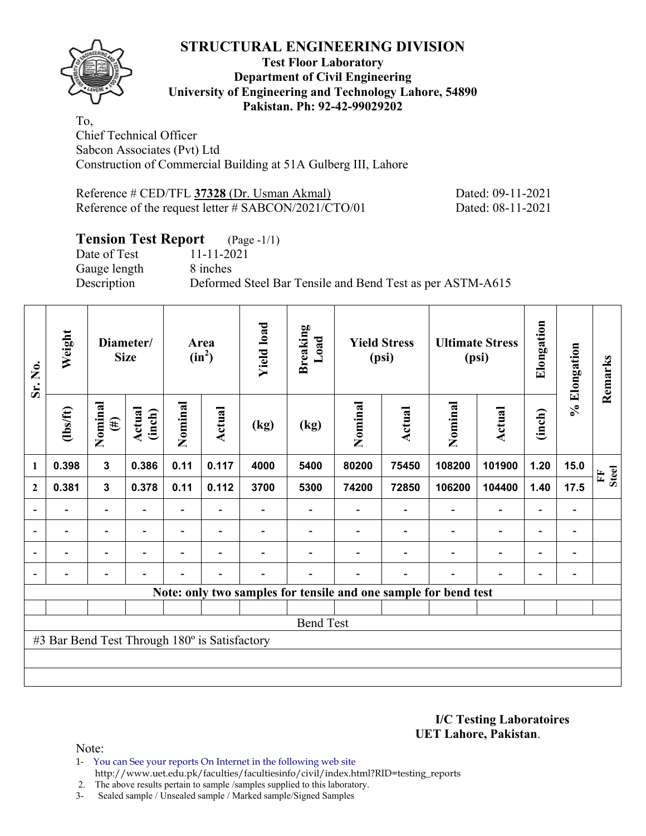#### **Test Floor Laboratory Department of Civil Engineering University of Engineering and Technology Lahore, 54890 Pakistan. Ph: 92-42-99029202**

To, Chief Technical Officer Sabcon Associates (Pvt) Ltd Construction of Commercial Building at 51A Gulberg III, Lahore

Reference # CED/TFL **37328** (Dr. Usman Akmal) Dated: 09-11-2021 Reference of the request letter # SABCON/2021/CTO/01 Dated: 08-11-2021

# **Tension Test Report** (Page -1/1)

Date of Test 11-11-2021 Gauge length 8 inches

Description Deformed Steel Bar Tensile and Bend Test as per ASTM-A615

| Sr. No.                  | Weight                                        |                          | Diameter/<br><b>Size</b> |                          | Area<br>$(in^2)$         |      | <b>Breaking</b><br>Load                                         | <b>Yield Stress</b><br>(psi) |                          | <b>Ultimate Stress</b><br>(psi) |                          | Elongation               | % Elongation             | Remarks           |
|--------------------------|-----------------------------------------------|--------------------------|--------------------------|--------------------------|--------------------------|------|-----------------------------------------------------------------|------------------------------|--------------------------|---------------------------------|--------------------------|--------------------------|--------------------------|-------------------|
|                          | (1bs/ft)                                      | Nominal<br>$(\#)$        | Actual<br>(inch)         | Nominal                  | Actual                   | (kg) | (kg)                                                            | Nominal                      | Actual                   | Nominal                         | Actual                   | (inch)                   |                          |                   |
| 1                        | 0.398                                         | 3                        | 0.386                    | 0.11                     | 0.117                    | 4000 | 5400                                                            | 80200                        | 75450                    | 108200                          | 101900                   | 1.20                     | 15.0                     | <b>Steel</b><br>E |
| $\mathbf{2}$             | 0.381                                         | $\mathbf{3}$             | 0.378                    | 0.11                     | 0.112                    | 3700 | 5300                                                            | 74200                        | 72850                    | 106200                          | 104400                   | 1.40                     | 17.5                     |                   |
|                          |                                               |                          |                          |                          |                          |      |                                                                 |                              |                          |                                 | $\overline{\phantom{0}}$ | $\overline{\phantom{0}}$ |                          |                   |
| $\overline{\phantom{a}}$ |                                               | $\overline{a}$           | $\overline{\phantom{0}}$ | $\overline{\phantom{0}}$ | $\overline{\phantom{a}}$ |      |                                                                 |                              |                          | $\overline{\phantom{0}}$        | $\overline{a}$           | $\overline{\phantom{a}}$ | $\blacksquare$           |                   |
| $\overline{\phantom{a}}$ |                                               | $\overline{\phantom{0}}$ | $\overline{\phantom{0}}$ | $\overline{\phantom{0}}$ | $\overline{\phantom{a}}$ |      |                                                                 |                              | $\overline{\phantom{0}}$ | $\overline{\phantom{0}}$        | $\overline{a}$           | $\overline{\phantom{0}}$ | $\overline{\phantom{0}}$ |                   |
|                          |                                               | $\overline{\phantom{0}}$ |                          |                          | $\overline{\phantom{a}}$ |      |                                                                 |                              | $\overline{\phantom{0}}$ | $\blacksquare$                  | $\overline{\phantom{0}}$ | $\overline{\phantom{0}}$ | $\overline{\phantom{0}}$ |                   |
|                          |                                               |                          |                          |                          |                          |      | Note: only two samples for tensile and one sample for bend test |                              |                          |                                 |                          |                          |                          |                   |
|                          |                                               |                          |                          |                          |                          |      |                                                                 |                              |                          |                                 |                          |                          |                          |                   |
|                          |                                               |                          |                          |                          |                          |      | <b>Bend Test</b>                                                |                              |                          |                                 |                          |                          |                          |                   |
|                          | #3 Bar Bend Test Through 180° is Satisfactory |                          |                          |                          |                          |      |                                                                 |                              |                          |                                 |                          |                          |                          |                   |
|                          |                                               |                          |                          |                          |                          |      |                                                                 |                              |                          |                                 |                          |                          |                          |                   |
|                          |                                               |                          |                          |                          |                          |      |                                                                 |                              |                          |                                 |                          |                          |                          |                   |

**I/C Testing Laboratoires UET Lahore, Pakistan**.

Note:

1- You can See your reports On Internet in the following web site http://www.uet.edu.pk/faculties/facultiesinfo/civil/index.html?RID=testing\_reports

2. The above results pertain to sample /samples supplied to this laboratory.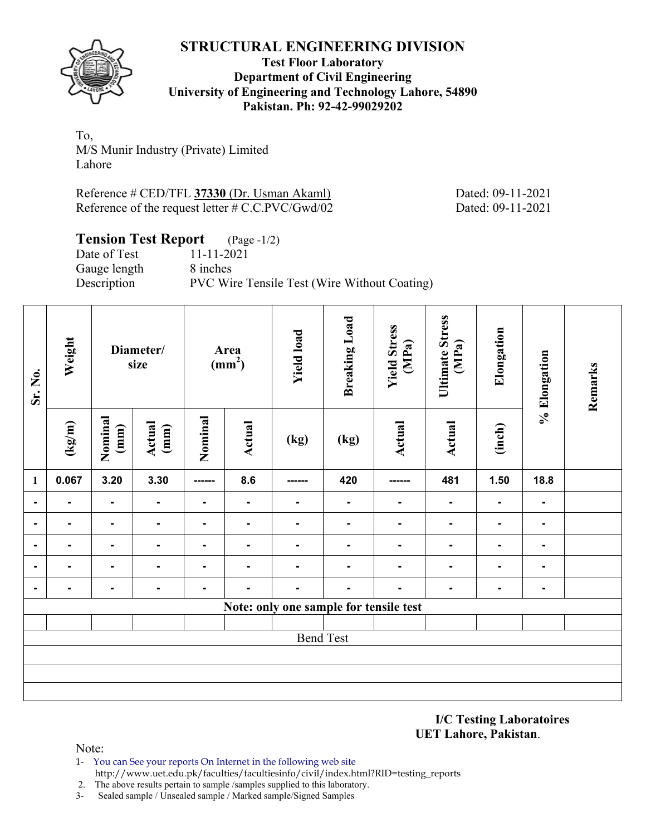

#### **Test Floor Laboratory Department of Civil Engineering University of Engineering and Technology Lahore, 54890 Pakistan. Ph: 92-42-99029202**

To, M/S Munir Industry (Private) Limited Lahore

Reference # CED/TFL **37330** (Dr. Usman Akaml) Dated: 09-11-2021 Reference of the request letter # C.C.PVC/Gwd/02 Dated: 09-11-2021

# **Tension Test Report** (Page -1/2)

Date of Test 11-11-2021 Gauge length 8 inches Description PVC Wire Tensile Test (Wire Without Coating)

| Sr. No.        | Weight |                 | Diameter/<br>size |                | Area<br>(mm <sup>2</sup> ) | <b>Yield load</b>                      | <b>Breaking Load</b> | <b>Yield Stress</b><br>(MPa) | <b>Ultimate Stress</b><br>(MPa) | Elongation     | % Elongation   | Remarks |
|----------------|--------|-----------------|-------------------|----------------|----------------------------|----------------------------------------|----------------------|------------------------------|---------------------------------|----------------|----------------|---------|
|                | (kg/m) | Nominal<br>(mm) | Actual<br>(mm)    | Nominal        | Actual                     | (kg)                                   | (kg)                 | <b>Actual</b>                | <b>Actual</b>                   | (inch)         |                |         |
| $\mathbf{1}$   | 0.067  | 3.20            | 3.30              | ------         | 8.6                        | ------                                 | 420                  | ------                       | 481                             | 1.50           | 18.8           |         |
| $\blacksquare$ | ٠      | ٠               | ٠                 | $\blacksquare$ | $\blacksquare$             | $\blacksquare$                         | $\blacksquare$       | Ξ.                           | $\blacksquare$                  | $\blacksquare$ | $\blacksquare$ |         |
| $\blacksquare$ | Ξ.     | ٠               |                   | $\blacksquare$ | ۰.                         | $\blacksquare$                         | $\blacksquare$       | Ξ.                           | $\blacksquare$                  | ۰              | ۰.             |         |
| $\blacksquare$ | ۰.     | ۰.              | Ξ.                | $\blacksquare$ | ۰                          | $\blacksquare$                         | $\blacksquare$       | Ξ.                           | $\blacksquare$                  | ٠              | ۰.             |         |
| $\blacksquare$ | Ξ.     | ۰.              | Ξ.                | $\blacksquare$ | ۰                          | $\blacksquare$                         | $\blacksquare$       | Ξ.                           | $\blacksquare$                  | ۰              | Ξ.             |         |
| $\blacksquare$ | Ξ.     | ٠               | ۰.                | $\blacksquare$ | $\blacksquare$             | $\blacksquare$                         | $\blacksquare$       | Ξ.                           | ۰                               | ٠              | ۰.             |         |
|                |        |                 |                   |                |                            | Note: only one sample for tensile test |                      |                              |                                 |                |                |         |
|                |        |                 |                   |                |                            |                                        |                      |                              |                                 |                |                |         |
|                |        |                 |                   |                |                            |                                        | <b>Bend Test</b>     |                              |                                 |                |                |         |
|                |        |                 |                   |                |                            |                                        |                      |                              |                                 |                |                |         |
|                |        |                 |                   |                |                            |                                        |                      |                              |                                 |                |                |         |
|                |        |                 |                   |                |                            |                                        |                      |                              |                                 |                |                |         |

**I/C Testing Laboratoires UET Lahore, Pakistan**.

- 1- You can See your reports On Internet in the following web site http://www.uet.edu.pk/faculties/facultiesinfo/civil/index.html?RID=testing\_reports
- 2. The above results pertain to sample /samples supplied to this laboratory.
- 3- Sealed sample / Unsealed sample / Marked sample/Signed Samples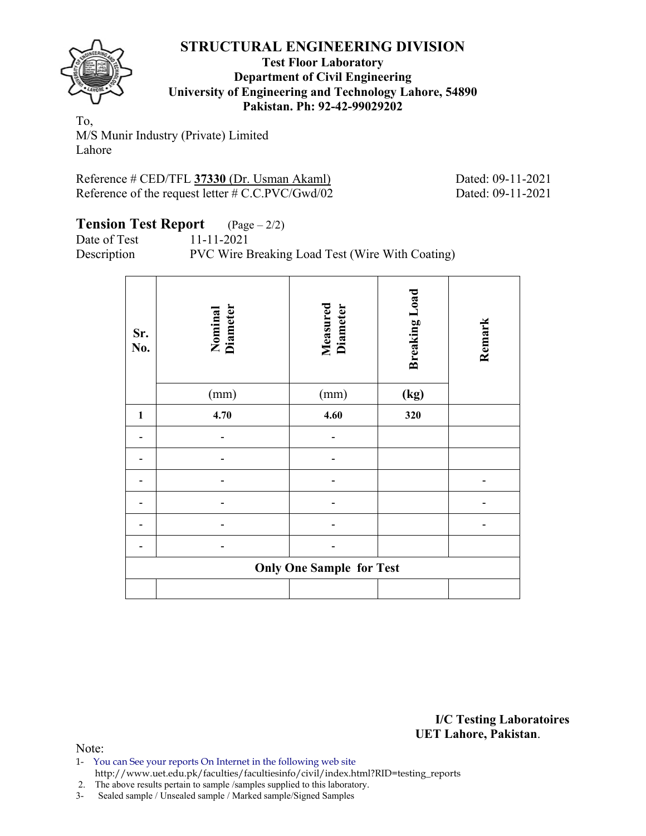

#### **Test Floor Laboratory Department of Civil Engineering University of Engineering and Technology Lahore, 54890 Pakistan. Ph: 92-42-99029202**

To, M/S Munir Industry (Private) Limited Lahore

Reference # CED/TFL **37330** (Dr. Usman Akaml) Dated: 09-11-2021 Reference of the request letter # C.C.PVC/Gwd/02 Dated: 09-11-2021

#### **Tension Test Report** (Page – 2/2) Date of Test 11-11-2021

Description PVC Wire Breaking Load Test (Wire With Coating)

| Sr.<br>No.   | Nominal<br>Diameter | <b>Measured</b><br>Diameter     | <b>Breaking Load</b> | Remark |
|--------------|---------------------|---------------------------------|----------------------|--------|
|              | (mm)                | (mm)                            | (kg)                 |        |
| $\mathbf{1}$ | 4.70                | 4.60                            | 320                  |        |
|              |                     |                                 |                      |        |
|              |                     |                                 |                      |        |
|              |                     |                                 |                      |        |
|              |                     |                                 |                      |        |
|              |                     |                                 |                      |        |
|              |                     |                                 |                      |        |
|              |                     | <b>Only One Sample for Test</b> |                      |        |
|              |                     |                                 |                      |        |

**I/C Testing Laboratoires UET Lahore, Pakistan**.

Note:

1- You can See your reports On Internet in the following web site http://www.uet.edu.pk/faculties/facultiesinfo/civil/index.html?RID=testing\_reports

2. The above results pertain to sample /samples supplied to this laboratory.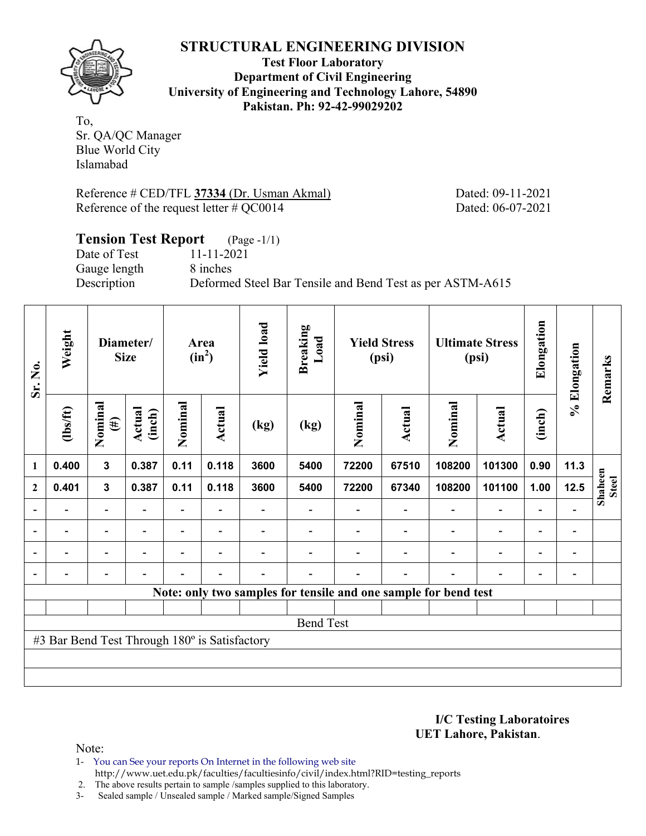

**Test Floor Laboratory Department of Civil Engineering University of Engineering and Technology Lahore, 54890 Pakistan. Ph: 92-42-99029202** 

To, Sr. QA/QC Manager Blue World City Islamabad

Reference # CED/TFL **37334** (Dr. Usman Akmal) Dated: 09-11-2021 Reference of the request letter # QC0014 Dated: 06-07-2021

# **Tension Test Report** (Page -1/1) Date of Test 11-11-2021 Gauge length 8 inches Description Deformed Steel Bar Tensile and Bend Test as per ASTM-A615

| Sr. No.                  | Weight                                        |                          | Diameter/<br><b>Size</b> |                | Area<br>$(in^2)$         | <b>Yield load</b>        | <b>Breaking</b><br>Load                                         |         | <b>Yield Stress</b><br>(psi) |                          | <b>Ultimate Stress</b><br>(psi) | Elongation               | % Elongation             | Remarks                 |
|--------------------------|-----------------------------------------------|--------------------------|--------------------------|----------------|--------------------------|--------------------------|-----------------------------------------------------------------|---------|------------------------------|--------------------------|---------------------------------|--------------------------|--------------------------|-------------------------|
|                          | $\frac{2}{10}$                                | Nominal<br>$(\#)$        | Actual<br>(inch)         | Nominal        | Actual                   | (kg)                     | (kg)                                                            | Nominal | Actual                       | Nominal                  | <b>Actual</b>                   | (inch)                   |                          |                         |
| 1                        | 0.400                                         | 3                        | 0.387                    | 0.11           | 0.118                    | 3600                     | 5400                                                            | 72200   | 67510                        | 108200                   | 101300                          | 0.90                     | 11.3                     |                         |
| $\mathbf{2}$             | 0.401                                         | $\mathbf{3}$             | 0.387                    | 0.11           | 0.118                    | 3600                     | 5400                                                            | 72200   | 67340                        | 108200                   | 101100                          | 1.00                     | 12.5                     | Shaheen<br><b>Steel</b> |
|                          |                                               | $\overline{\phantom{0}}$ |                          |                |                          |                          |                                                                 |         |                              |                          | $\overline{\phantom{a}}$        | $\overline{\phantom{0}}$ |                          |                         |
| $\overline{\phantom{a}}$ | Ξ.                                            | $\blacksquare$           | $\blacksquare$           |                | $\blacksquare$           |                          |                                                                 |         |                              |                          | $\overline{\phantom{a}}$        | -                        | $\overline{\phantom{a}}$ |                         |
| $\blacksquare$           | $\blacksquare$                                | Ξ.                       | $\blacksquare$           | $\blacksquare$ | $\overline{\phantom{a}}$ |                          |                                                                 |         |                              |                          | $\overline{\phantom{a}}$        | Ξ.                       | $\overline{\phantom{a}}$ |                         |
|                          |                                               | $\qquad \qquad -$        |                          |                | $\blacksquare$           | $\overline{\phantom{0}}$ |                                                                 |         | $\overline{\phantom{0}}$     | $\overline{\phantom{0}}$ | $\overline{\phantom{a}}$        | -                        | $\overline{a}$           |                         |
|                          |                                               |                          |                          |                |                          |                          | Note: only two samples for tensile and one sample for bend test |         |                              |                          |                                 |                          |                          |                         |
|                          |                                               |                          |                          |                |                          |                          |                                                                 |         |                              |                          |                                 |                          |                          |                         |
|                          |                                               |                          |                          |                |                          |                          | <b>Bend Test</b>                                                |         |                              |                          |                                 |                          |                          |                         |
|                          | #3 Bar Bend Test Through 180° is Satisfactory |                          |                          |                |                          |                          |                                                                 |         |                              |                          |                                 |                          |                          |                         |
|                          |                                               |                          |                          |                |                          |                          |                                                                 |         |                              |                          |                                 |                          |                          |                         |
|                          |                                               |                          |                          |                |                          |                          |                                                                 |         |                              |                          |                                 |                          |                          |                         |

**I/C Testing Laboratoires UET Lahore, Pakistan**.

Note:

1- You can See your reports On Internet in the following web site http://www.uet.edu.pk/faculties/facultiesinfo/civil/index.html?RID=testing\_reports

2. The above results pertain to sample /samples supplied to this laboratory.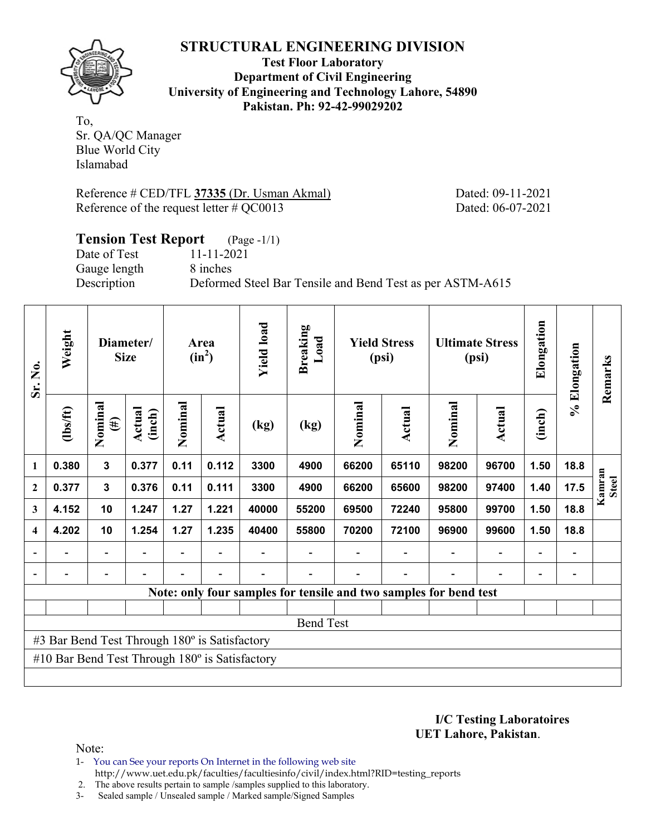

**Test Floor Laboratory Department of Civil Engineering University of Engineering and Technology Lahore, 54890 Pakistan. Ph: 92-42-99029202** 

To, Sr. QA/QC Manager Blue World City Islamabad

Reference # CED/TFL **37335** (Dr. Usman Akmal) Dated: 09-11-2021 Reference of the request letter # QC0013 Dated: 06-07-2021

# **Tension Test Report** (Page -1/1) Date of Test 11-11-2021 Gauge length 8 inches Description Deformed Steel Bar Tensile and Bend Test as per ASTM-A615

| Sr. No.                 | Weight                                                |                              | Diameter/<br><b>Size</b> |         | Area<br>$(in^2)$ | <b>Yield load</b> | <b>Breaking</b><br>Load                                           |         | <b>Yield Stress</b><br>(psi) |                          | <b>Ultimate Stress</b><br>(psi) | Elongation               | % Elongation             | Remarks                |
|-------------------------|-------------------------------------------------------|------------------------------|--------------------------|---------|------------------|-------------------|-------------------------------------------------------------------|---------|------------------------------|--------------------------|---------------------------------|--------------------------|--------------------------|------------------------|
|                         | $\frac{2}{10}$                                        | Nominal<br>$(\#)$            | Actual<br>(inch)         | Nominal | Actual           | (kg)              | (kg)                                                              | Nominal | Actual                       | Nominal<br><b>Actual</b> |                                 | (inch)                   |                          |                        |
| 1                       | 0.380                                                 | $\mathbf{3}$                 | 0.377                    | 0.11    | 0.112            | 3300              | 4900                                                              | 66200   | 65110                        | 98200                    | 96700                           | 1.50                     | 18.8                     |                        |
| $\mathbf{2}$            | 0.377                                                 | $\mathbf{3}$                 | 0.376                    | 0.11    | 0.111            | 3300              | 4900                                                              | 66200   | 65600                        | 98200                    | 97400                           | 1.40                     | 17.5                     | Kamran<br><b>Steel</b> |
| 3                       | 4.152                                                 | 10                           | 1.247                    | 1.27    | 1.221            | 40000             | 55200                                                             | 69500   | 72240                        | 95800                    | 99700                           | 1.50                     | 18.8                     |                        |
| $\overline{\mathbf{4}}$ | 4.202                                                 | 10                           | 1.254                    | 1.27    | 1.235            | 40400             | 55800                                                             | 70200   | 72100                        | 96900                    | 99600                           | 1.50                     | 18.8                     |                        |
| $\blacksquare$          | $\blacksquare$                                        | $\qquad \qquad \blacksquare$ |                          |         |                  |                   |                                                                   |         | $\blacksquare$               |                          | $\overline{\phantom{a}}$        | $\overline{\phantom{a}}$ | $\blacksquare$           |                        |
|                         |                                                       | $\blacksquare$               |                          |         |                  |                   |                                                                   |         | $\blacksquare$               |                          |                                 | $\overline{\phantom{a}}$ | $\overline{\phantom{a}}$ |                        |
|                         |                                                       |                              |                          |         |                  |                   | Note: only four samples for tensile and two samples for bend test |         |                              |                          |                                 |                          |                          |                        |
|                         |                                                       |                              |                          |         |                  |                   |                                                                   |         |                              |                          |                                 |                          |                          |                        |
|                         |                                                       |                              |                          |         |                  |                   | <b>Bend Test</b>                                                  |         |                              |                          |                                 |                          |                          |                        |
|                         | #3 Bar Bend Test Through 180° is Satisfactory         |                              |                          |         |                  |                   |                                                                   |         |                              |                          |                                 |                          |                          |                        |
|                         | #10 Bar Bend Test Through $180^\circ$ is Satisfactory |                              |                          |         |                  |                   |                                                                   |         |                              |                          |                                 |                          |                          |                        |
|                         |                                                       |                              |                          |         |                  |                   |                                                                   |         |                              |                          |                                 |                          |                          |                        |

**I/C Testing Laboratoires UET Lahore, Pakistan**.

- 1- You can See your reports On Internet in the following web site http://www.uet.edu.pk/faculties/facultiesinfo/civil/index.html?RID=testing\_reports
- 2. The above results pertain to sample /samples supplied to this laboratory.
- 3- Sealed sample / Unsealed sample / Marked sample/Signed Samples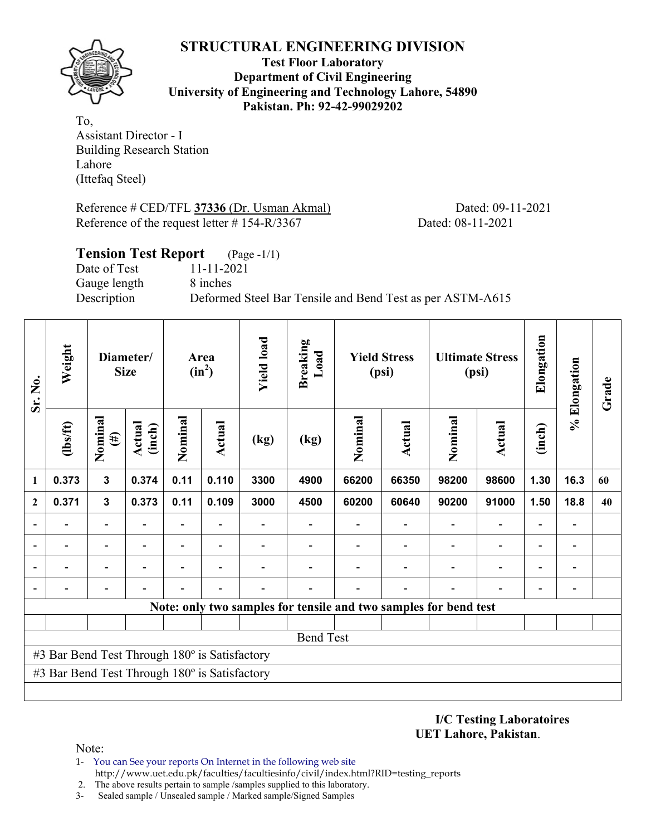

**Test Floor Laboratory Department of Civil Engineering University of Engineering and Technology Lahore, 54890 Pakistan. Ph: 92-42-99029202** 

To, Assistant Director - I Building Research Station Lahore (Ittefaq Steel)

Reference # CED/TFL **37336** (Dr. Usman Akmal) Dated: 09-11-2021 Reference of the request letter # 154-R/3367 Dated: 08-11-2021

|              | <b>Tension Test Report</b> (Page -1/1)                    |
|--------------|-----------------------------------------------------------|
| Date of Test | 11-11-2021                                                |
| Gauge length | 8 inches                                                  |
| Description  | Deformed Steel Bar Tensile and Bend Test as per ASTM-A615 |
|              |                                                           |

| Sr. No.                  | Weight                                        |                          | Diameter/<br><b>Size</b> |                          | Area<br>$(in^2)$         | <b>Yield load</b> | <b>Breaking</b><br>Load |         | <b>Yield Stress</b><br>(psi)                                     |                | <b>Ultimate Stress</b><br>(psi) | Elongation               | % Elongation                 | Grade |
|--------------------------|-----------------------------------------------|--------------------------|--------------------------|--------------------------|--------------------------|-------------------|-------------------------|---------|------------------------------------------------------------------|----------------|---------------------------------|--------------------------|------------------------------|-------|
|                          | (1bs/ft)                                      | Nominal<br>$(\#)$        | Actual<br>(inch)         | Nominal                  | <b>Actual</b>            | (kg)              | (kg)                    | Nominal | Actual                                                           | Nominal        | <b>Actual</b>                   | (inch)                   |                              |       |
| 1                        | 0.373                                         | 3                        | 0.374                    | 0.11                     | 0.110                    | 3300              | 4900                    | 66200   | 66350                                                            | 98200          | 98600                           | 1.30                     | 16.3                         | 60    |
| $\mathbf{2}$             | 0.371                                         | 3                        | 0.373                    | 0.11                     | 0.109                    | 3000              | 4500                    | 60200   | 60640                                                            | 90200          | 91000                           | 1.50                     | 18.8                         | 40    |
|                          |                                               |                          |                          |                          |                          |                   |                         |         |                                                                  |                | $\overline{\phantom{0}}$        | $\overline{a}$           |                              |       |
| $\overline{\phantom{0}}$ |                                               | $\overline{\phantom{0}}$ |                          |                          |                          |                   |                         |         |                                                                  |                | $\overline{\phantom{0}}$        | $\overline{a}$           | $\qquad \qquad \blacksquare$ |       |
| ۰                        |                                               | $\overline{\phantom{0}}$ |                          | $\overline{\phantom{0}}$ | $\overline{\phantom{0}}$ |                   |                         |         |                                                                  | $\blacksquare$ | $\overline{a}$                  | $\overline{\phantom{0}}$ | $\overline{\phantom{0}}$     |       |
|                          |                                               | $\overline{\phantom{0}}$ |                          |                          | $\blacksquare$           |                   |                         |         |                                                                  |                | $\overline{\phantom{0}}$        | $\overline{\phantom{0}}$ | $\qquad \qquad \blacksquare$ |       |
|                          |                                               |                          |                          |                          |                          |                   |                         |         | Note: only two samples for tensile and two samples for bend test |                |                                 |                          |                              |       |
|                          |                                               |                          |                          |                          |                          |                   |                         |         |                                                                  |                |                                 |                          |                              |       |
|                          |                                               |                          |                          |                          |                          |                   | <b>Bend Test</b>        |         |                                                                  |                |                                 |                          |                              |       |
|                          | #3 Bar Bend Test Through 180° is Satisfactory |                          |                          |                          |                          |                   |                         |         |                                                                  |                |                                 |                          |                              |       |
|                          | #3 Bar Bend Test Through 180° is Satisfactory |                          |                          |                          |                          |                   |                         |         |                                                                  |                |                                 |                          |                              |       |
|                          |                                               |                          |                          |                          |                          |                   |                         |         |                                                                  |                |                                 |                          |                              |       |

**I/C Testing Laboratoires UET Lahore, Pakistan**.

- 1- You can See your reports On Internet in the following web site http://www.uet.edu.pk/faculties/facultiesinfo/civil/index.html?RID=testing\_reports
- 2. The above results pertain to sample /samples supplied to this laboratory.
- 3- Sealed sample / Unsealed sample / Marked sample/Signed Samples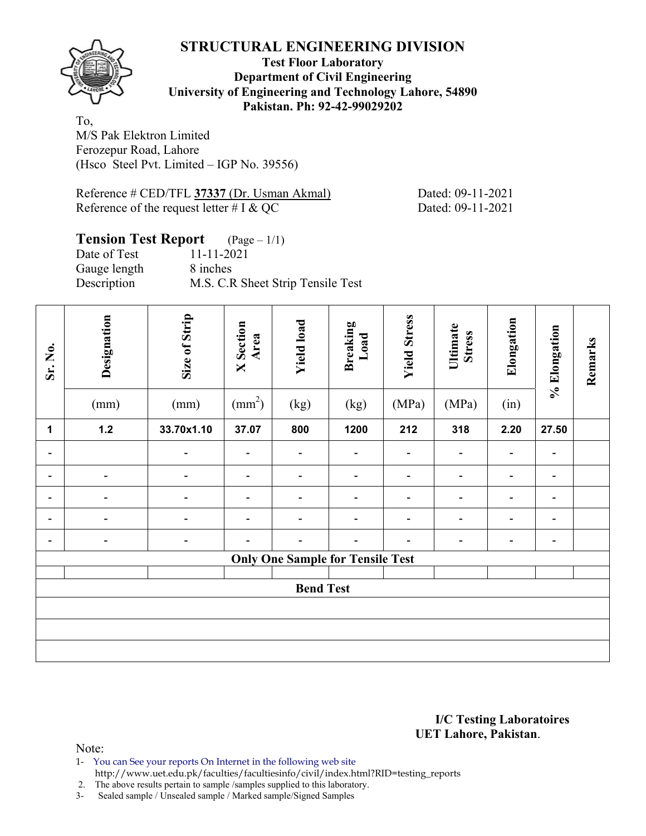

**Test Floor Laboratory Department of Civil Engineering University of Engineering and Technology Lahore, 54890 Pakistan. Ph: 92-42-99029202** 

To, M/S Pak Elektron Limited Ferozepur Road, Lahore (Hsco Steel Pvt. Limited – IGP No. 39556)

Reference # CED/TFL **37337** (Dr. Usman Akmal) Dated: 09-11-2021 Reference of the request letter  $# I & QC$  Dated: 09-11-2021

#### **Tension Test Report** (Page – 1/1) Date of Test 11-11-2021 Gauge length 8 inches Description M.S. C.R Sheet Strip Tensile Test

| Sr. No.                  | Designation<br>(mm)      | Size of Strip<br>(mm)        | <b>X</b> Section<br>Area<br>$\text{(mm}^2)$ | <b>Yield load</b><br>(kg)               | <b>Breaking</b><br>Load<br>(kg) | <b>Yield Stress</b><br>(MPa) | Ultimate<br><b>Stress</b><br>(MPa) | Elongation<br>(in) | % Elongation             | Remarks |
|--------------------------|--------------------------|------------------------------|---------------------------------------------|-----------------------------------------|---------------------------------|------------------------------|------------------------------------|--------------------|--------------------------|---------|
| 1                        | $1.2$                    | 33.70x1.10                   | 37.07                                       | 800                                     | 1200                            | 212                          | 318                                | 2.20               | 27.50                    |         |
| $\overline{\phantom{0}}$ |                          | $\overline{\phantom{a}}$     | $\overline{\phantom{0}}$                    | $\overline{\phantom{a}}$                | $\overline{\phantom{0}}$        | $\qquad \qquad \blacksquare$ | $\overline{\phantom{a}}$           | -                  | $\overline{\phantom{a}}$ |         |
| $\overline{\phantom{0}}$ | $\overline{\phantom{0}}$ |                              |                                             | -                                       |                                 |                              | $\qquad \qquad \blacksquare$       |                    | $\overline{\phantom{a}}$ |         |
| $\overline{\phantom{0}}$ |                          |                              |                                             | $\overline{\phantom{a}}$                |                                 |                              | $\blacksquare$                     |                    | $\overline{\phantom{a}}$ |         |
| Ξ.                       | $\blacksquare$           | $\overline{\phantom{a}}$     | $\blacksquare$                              | $\overline{\phantom{a}}$                |                                 | $\overline{\phantom{a}}$     | $\overline{\phantom{a}}$           |                    | $\overline{\phantom{a}}$ |         |
| $\blacksquare$           | $\overline{\phantom{0}}$ | $\qquad \qquad \blacksquare$ | $\overline{\phantom{0}}$                    | $\overline{\phantom{a}}$                | $\overline{\phantom{0}}$        | $\qquad \qquad \blacksquare$ | $\overline{\phantom{0}}$           | -                  | $\overline{\phantom{a}}$ |         |
|                          |                          |                              |                                             | <b>Only One Sample for Tensile Test</b> |                                 |                              |                                    |                    |                          |         |
|                          |                          |                              |                                             |                                         |                                 |                              |                                    |                    |                          |         |
|                          |                          |                              |                                             | <b>Bend Test</b>                        |                                 |                              |                                    |                    |                          |         |
|                          |                          |                              |                                             |                                         |                                 |                              |                                    |                    |                          |         |
|                          |                          |                              |                                             |                                         |                                 |                              |                                    |                    |                          |         |
|                          |                          |                              |                                             |                                         |                                 |                              |                                    |                    |                          |         |

#### **I/C Testing Laboratoires UET Lahore, Pakistan**.

- 1- You can See your reports On Internet in the following web site
	- http://www.uet.edu.pk/faculties/facultiesinfo/civil/index.html?RID=testing\_reports
- 2. The above results pertain to sample /samples supplied to this laboratory.
- 3- Sealed sample / Unsealed sample / Marked sample/Signed Samples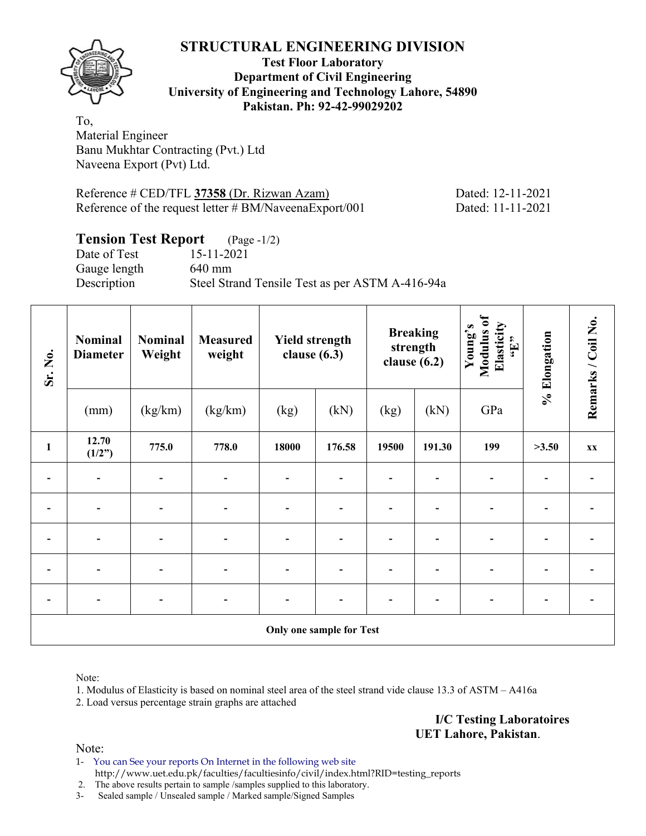

#### **Test Floor Laboratory Department of Civil Engineering University of Engineering and Technology Lahore, 54890 Pakistan. Ph: 92-42-99029202**

To, Material Engineer Banu Mukhtar Contracting (Pvt.) Ltd Naveena Export (Pvt) Ltd.

Reference # CED/TFL 37358 (Dr. Rizwan Azam) Dated: 12-11-2021 Reference of the request letter # BM/NaveenaExport/001 Dated: 11-11-2021

# **Tension Test Report** (Page -1/2)

Date of Test 15-11-2021 Gauge length 640 mm Description Steel Strand Tensile Test as per ASTM A-416-94a

| Sr. No.      | <b>Nominal</b><br><b>Diameter</b> | <b>Nominal</b><br>Weight     | <b>Measured</b><br>weight | <b>Yield strength</b><br>clause $(6.3)$ |                                 | clause $(6.2)$ | <b>Breaking</b><br>strength | Modulus of<br>Elasticity<br>Young's<br>$\epsilon$ . T., | % Elongation | Remarks / Coil No. |
|--------------|-----------------------------------|------------------------------|---------------------------|-----------------------------------------|---------------------------------|----------------|-----------------------------|---------------------------------------------------------|--------------|--------------------|
|              | (mm)                              | (kg/km)                      | (kg/km)                   | (kg)                                    | (kN)                            | (kg)           | (kN)                        | GPa                                                     |              |                    |
| $\mathbf{1}$ | 12.70<br>(1/2")                   | 775.0                        | 778.0                     | 18000                                   | 176.58                          | 19500          | 191.30                      | 199                                                     | >3.50        | XX                 |
|              |                                   |                              |                           |                                         |                                 |                |                             |                                                         |              |                    |
|              | $\overline{\phantom{0}}$          | $\qquad \qquad \blacksquare$ |                           |                                         |                                 |                |                             |                                                         |              |                    |
|              |                                   |                              |                           |                                         |                                 |                |                             |                                                         |              |                    |
|              |                                   |                              |                           |                                         |                                 |                |                             |                                                         |              |                    |
|              |                                   |                              |                           |                                         |                                 |                |                             |                                                         |              |                    |
|              |                                   |                              |                           |                                         | <b>Only one sample for Test</b> |                |                             |                                                         |              |                    |

Note:

1. Modulus of Elasticity is based on nominal steel area of the steel strand vide clause 13.3 of ASTM – A416a

2. Load versus percentage strain graphs are attached

**I/C Testing Laboratoires UET Lahore, Pakistan**.

Note:

1- You can See your reports On Internet in the following web site http://www.uet.edu.pk/faculties/facultiesinfo/civil/index.html?RID=testing\_reports

2. The above results pertain to sample /samples supplied to this laboratory.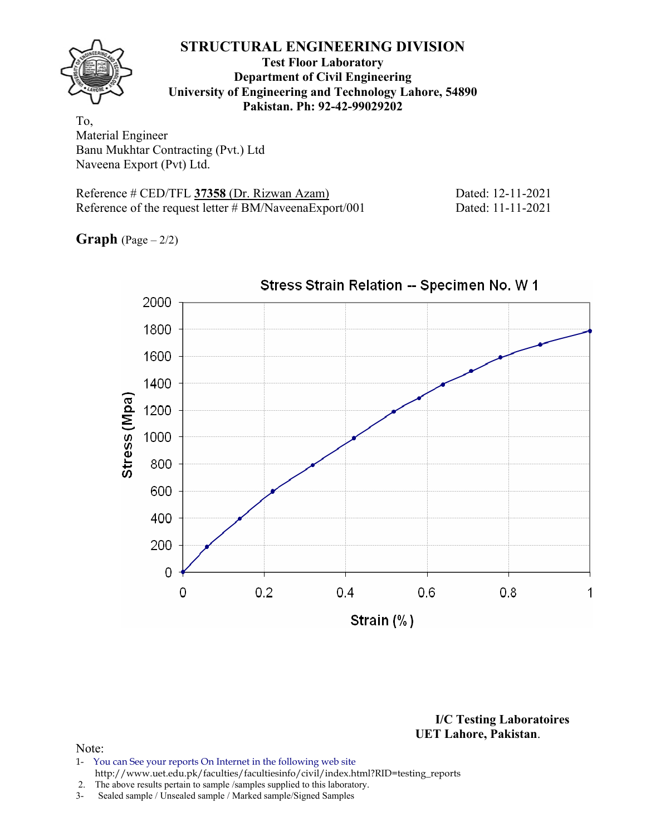

**Test Floor Laboratory Department of Civil Engineering University of Engineering and Technology Lahore, 54890 Pakistan. Ph: 92-42-99029202** 

To, Material Engineer Banu Mukhtar Contracting (Pvt.) Ltd Naveena Export (Pvt) Ltd.

Reference # CED/TFL **37358** (Dr. Rizwan Azam) Dated: 12-11-2021 Reference of the request letter # BM/NaveenaExport/001 Dated: 11-11-2021

**Graph**  $(Page - 2/2)$ 



**I/C Testing Laboratoires UET Lahore, Pakistan**.

- 1- You can See your reports On Internet in the following web site http://www.uet.edu.pk/faculties/facultiesinfo/civil/index.html?RID=testing\_reports
- 2. The above results pertain to sample /samples supplied to this laboratory.
- 3- Sealed sample / Unsealed sample / Marked sample/Signed Samples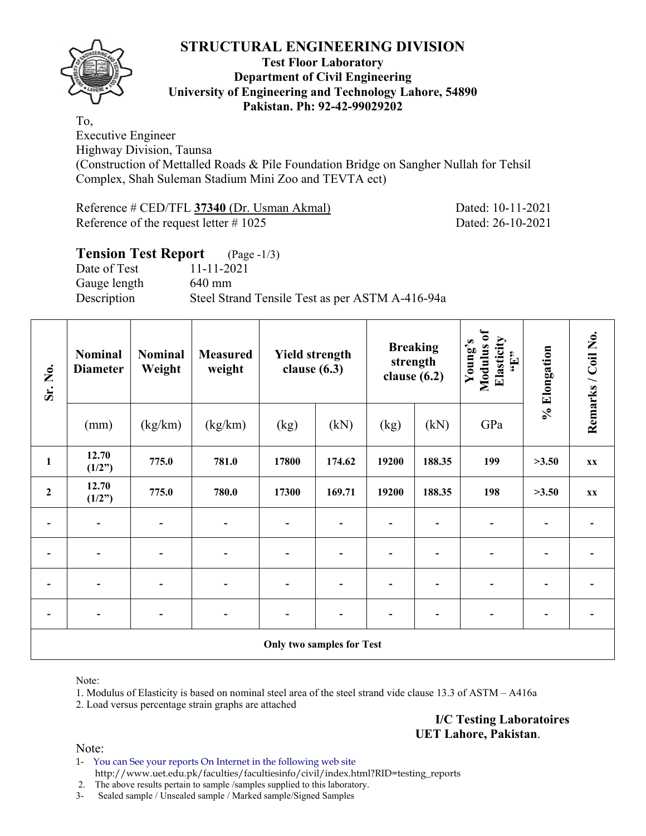

#### **Test Floor Laboratory Department of Civil Engineering University of Engineering and Technology Lahore, 54890 Pakistan. Ph: 92-42-99029202**

To, Executive Engineer Highway Division, Taunsa (Construction of Mettalled Roads & Pile Foundation Bridge on Sangher Nullah for Tehsil Complex, Shah Suleman Stadium Mini Zoo and TEVTA ect)

Reference # CED/TFL **37340** (Dr. Usman Akmal) Dated: 10-11-2021 Reference of the request letter # 1025 Dated: 26-10-2021

#### **Tension Test Report** (Page -1/3) Date of Test 11-11-2021 Gauge length 640 mm Description Steel Strand Tensile Test as per ASTM A-416-94a

| Sr. No.          | <b>Nominal</b><br><b>Diameter</b>                                                                  | <b>Nominal</b><br>Weight | <b>Measured</b><br>weight | <b>Yield strength</b><br>clause $(6.3)$ |                                  | <b>Breaking</b><br>strength<br>clause $(6.2)$ |        | Modulus of<br>Elasticity<br>Young's<br>$\epsilon_{\rm H},$ | % Elongation | Remarks / Coil No. |  |  |  |  |  |  |  |
|------------------|----------------------------------------------------------------------------------------------------|--------------------------|---------------------------|-----------------------------------------|----------------------------------|-----------------------------------------------|--------|------------------------------------------------------------|--------------|--------------------|--|--|--|--|--|--|--|
|                  | (mm)                                                                                               | (kg/km)                  | (kg/km)                   | (kg)                                    | (kN)                             | (kg)                                          | (kN)   | GPa                                                        |              |                    |  |  |  |  |  |  |  |
| $\mathbf{1}$     | 12.70<br>(1/2")                                                                                    | 775.0                    | 781.0                     | 17800                                   | 174.62                           | 19200                                         | 188.35 | 199                                                        | >3.50        | XX                 |  |  |  |  |  |  |  |
| $\boldsymbol{2}$ | 12.70<br>(1/2")                                                                                    | 775.0                    | 780.0                     | 17300                                   | 169.71                           | 19200                                         | 188.35 | 198                                                        | >3.50        | XX                 |  |  |  |  |  |  |  |
|                  | $\overline{\phantom{a}}$                                                                           | $\blacksquare$           | $\overline{\phantom{0}}$  | $\blacksquare$                          |                                  |                                               |        | $\overline{\phantom{0}}$                                   |              |                    |  |  |  |  |  |  |  |
| $\overline{a}$   | $\overline{\phantom{0}}$                                                                           | $\overline{\phantom{a}}$ | $\overline{\phantom{0}}$  | $\overline{\phantom{a}}$                |                                  |                                               |        | $\qquad \qquad \blacksquare$                               |              |                    |  |  |  |  |  |  |  |
|                  |                                                                                                    |                          |                           |                                         |                                  |                                               |        |                                                            |              |                    |  |  |  |  |  |  |  |
|                  | -<br>-<br>$\qquad \qquad \blacksquare$<br>$\overline{\phantom{0}}$<br>$\qquad \qquad \blacksquare$ |                          |                           |                                         |                                  |                                               |        |                                                            |              |                    |  |  |  |  |  |  |  |
|                  |                                                                                                    |                          |                           |                                         | <b>Only two samples for Test</b> |                                               |        |                                                            |              |                    |  |  |  |  |  |  |  |

Note:

1. Modulus of Elasticity is based on nominal steel area of the steel strand vide clause 13.3 of ASTM – A416a

2. Load versus percentage strain graphs are attached

**I/C Testing Laboratoires UET Lahore, Pakistan**.

Note:

1- You can See your reports On Internet in the following web site http://www.uet.edu.pk/faculties/facultiesinfo/civil/index.html?RID=testing\_reports

2. The above results pertain to sample /samples supplied to this laboratory.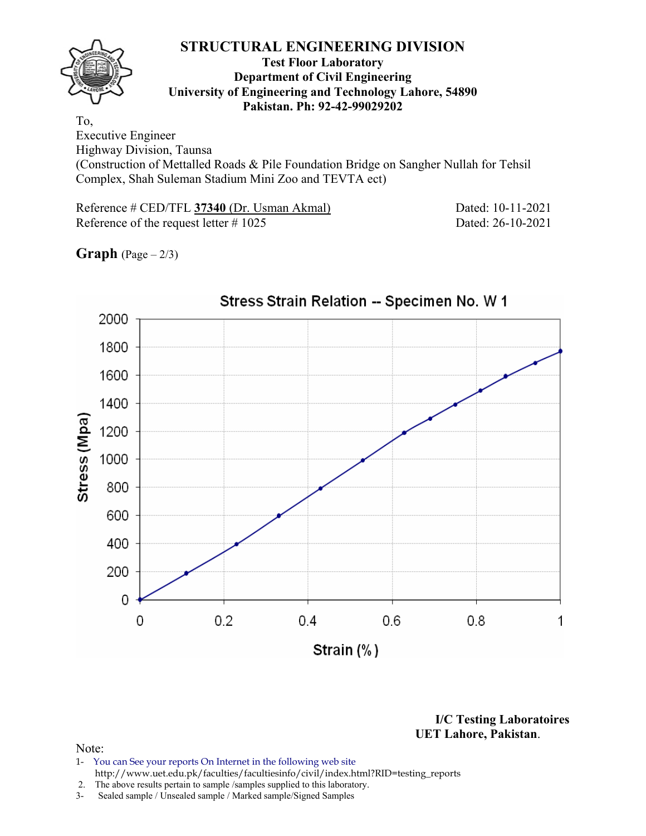#### **Test Floor Laboratory Department of Civil Engineering University of Engineering and Technology Lahore, 54890 Pakistan. Ph: 92-42-99029202**

To, Executive Engineer Highway Division, Taunsa

(Construction of Mettalled Roads & Pile Foundation Bridge on Sangher Nullah for Tehsil Complex, Shah Suleman Stadium Mini Zoo and TEVTA ect)

Reference # CED/TFL **37340** (Dr. Usman Akmal) Dated: 10-11-2021 Reference of the request letter # 1025 Dated: 26-10-2021

**Graph**  $(Page - 2/3)$ 



**I/C Testing Laboratoires UET Lahore, Pakistan**.

- 1- You can See your reports On Internet in the following web site http://www.uet.edu.pk/faculties/facultiesinfo/civil/index.html?RID=testing\_reports
- 2. The above results pertain to sample /samples supplied to this laboratory.
- 3- Sealed sample / Unsealed sample / Marked sample/Signed Samples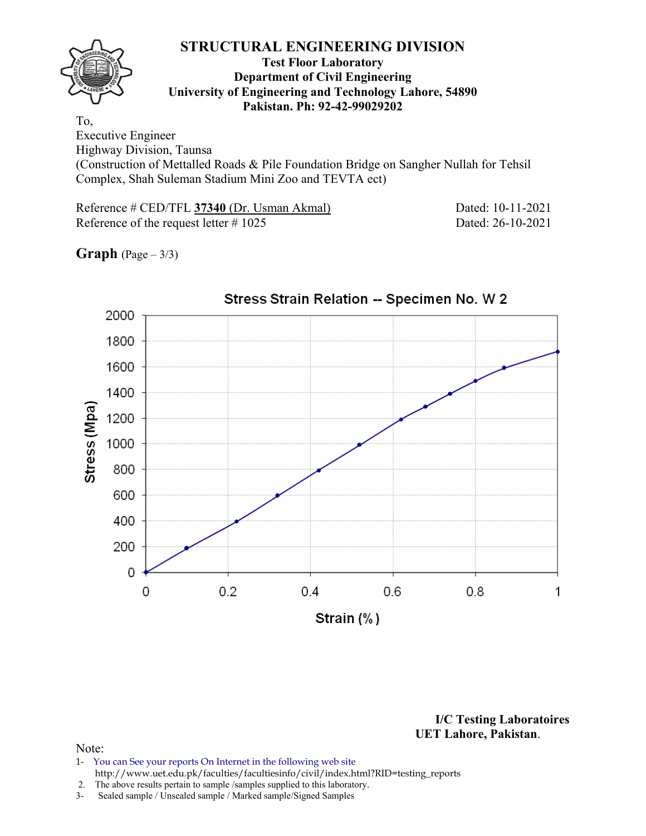#### **Test Floor Laboratory Department of Civil Engineering University of Engineering and Technology Lahore, 54890 Pakistan. Ph: 92-42-99029202**

To, Executive Engineer Highway Division, Taunsa

(Construction of Mettalled Roads & Pile Foundation Bridge on Sangher Nullah for Tehsil Complex, Shah Suleman Stadium Mini Zoo and TEVTA ect)

Reference # CED/TFL **37340** (Dr. Usman Akmal) Dated: 10-11-2021 Reference of the request letter # 1025 Dated: 26-10-2021

**Graph**  $(Page - 3/3)$ 



**I/C Testing Laboratoires UET Lahore, Pakistan**.

- 1- You can See your reports On Internet in the following web site http://www.uet.edu.pk/faculties/facultiesinfo/civil/index.html?RID=testing\_reports
- 2. The above results pertain to sample /samples supplied to this laboratory.
- 3- Sealed sample / Unsealed sample / Marked sample/Signed Samples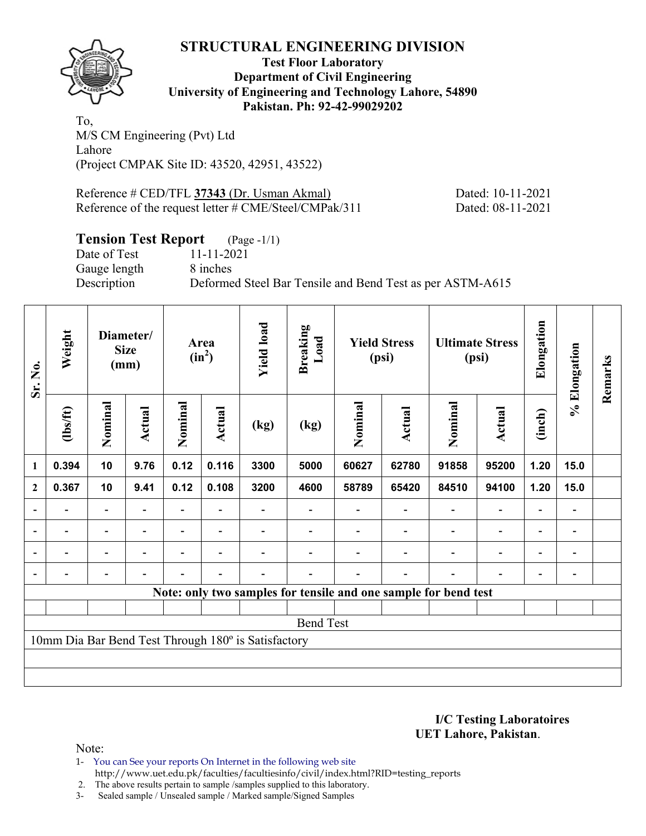

**Test Floor Laboratory Department of Civil Engineering University of Engineering and Technology Lahore, 54890 Pakistan. Ph: 92-42-99029202** 

To, M/S CM Engineering (Pvt) Ltd Lahore (Project CMPAK Site ID: 43520, 42951, 43522)

Reference # CED/TFL **37343** (Dr. Usman Akmal) Dated: 10-11-2021 Reference of the request letter # CME/Steel/CMPak/311 Dated: 08-11-2021

### **Tension Test Report** (Page -1/1)

Gauge length 8 inches

Date of Test 11-11-2021 Description Deformed Steel Bar Tensile and Bend Test as per ASTM-A615

| Sr. No.          | Weight                   |                              | Diameter/<br><b>Size</b><br>(mm) |                | Area<br>$(in^2)$ | <b>Yield load</b>                                   | <b>Breaking</b><br>Load | <b>Yield Stress</b><br>(psi) |                                                                 |                          | <b>Ultimate Stress</b><br>(psi) | Elongation               | % Elongation             | Remarks |
|------------------|--------------------------|------------------------------|----------------------------------|----------------|------------------|-----------------------------------------------------|-------------------------|------------------------------|-----------------------------------------------------------------|--------------------------|---------------------------------|--------------------------|--------------------------|---------|
|                  | (1bs/ft)                 | Nominal                      | Nominal<br>Actual<br>9.76        |                | <b>Actual</b>    | (kg)                                                | (kg)                    | Nominal                      | <b>Actual</b>                                                   | Nominal                  | <b>Actual</b>                   | (inch)                   |                          |         |
| 1                | 0.394                    | 10                           |                                  | 0.12           | 0.116            | 3300                                                | 5000                    | 60627                        | 62780                                                           | 91858                    | 95200                           | 1.20                     | 15.0                     |         |
| $\boldsymbol{2}$ | 0.367                    | 10                           | 9.41                             | 0.12           | 0.108            | 3200                                                | 4600                    | 58789                        | 65420                                                           | 84510                    | 94100                           | 1.20                     | 15.0                     |         |
|                  |                          | -                            |                                  |                |                  |                                                     |                         |                              |                                                                 |                          | $\overline{\phantom{0}}$        | $\overline{\phantom{0}}$ | $\overline{\phantom{a}}$ |         |
|                  | $\overline{\phantom{0}}$ | $\overline{\phantom{a}}$     |                                  |                |                  |                                                     |                         |                              |                                                                 | $\blacksquare$           | $\overline{\phantom{a}}$        | -                        | -                        |         |
|                  | $\blacksquare$           | $\overline{\phantom{a}}$     |                                  | $\blacksquare$ | $\blacksquare$   |                                                     |                         |                              |                                                                 | $\overline{\phantom{0}}$ | $\overline{\phantom{0}}$        | Ξ.                       | $\blacksquare$           |         |
|                  |                          | $\qquad \qquad \blacksquare$ | $\blacksquare$                   |                | $\blacksquare$   |                                                     |                         |                              |                                                                 |                          | $\overline{\phantom{a}}$        | $\overline{\phantom{a}}$ | -                        |         |
|                  |                          |                              |                                  |                |                  |                                                     |                         |                              | Note: only two samples for tensile and one sample for bend test |                          |                                 |                          |                          |         |
|                  |                          |                              |                                  |                |                  |                                                     |                         |                              |                                                                 |                          |                                 |                          |                          |         |
|                  |                          |                              |                                  |                |                  |                                                     | <b>Bend Test</b>        |                              |                                                                 |                          |                                 |                          |                          |         |
|                  |                          |                              |                                  |                |                  | 10mm Dia Bar Bend Test Through 180° is Satisfactory |                         |                              |                                                                 |                          |                                 |                          |                          |         |
|                  |                          |                              |                                  |                |                  |                                                     |                         |                              |                                                                 |                          |                                 |                          |                          |         |
|                  |                          |                              |                                  |                |                  |                                                     |                         |                              |                                                                 |                          |                                 |                          |                          |         |

**I/C Testing Laboratoires UET Lahore, Pakistan**.

Note:

- 1- You can See your reports On Internet in the following web site http://www.uet.edu.pk/faculties/facultiesinfo/civil/index.html?RID=testing\_reports
- 2. The above results pertain to sample /samples supplied to this laboratory.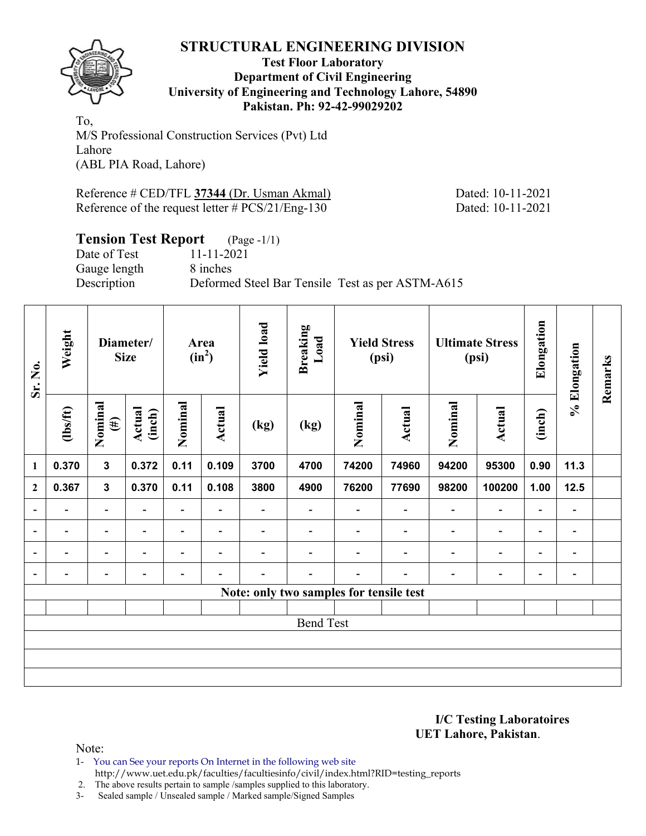

#### **Test Floor Laboratory Department of Civil Engineering University of Engineering and Technology Lahore, 54890 Pakistan. Ph: 92-42-99029202**

To, M/S Professional Construction Services (Pvt) Ltd Lahore (ABL PIA Road, Lahore)

Reference # CED/TFL **37344** (Dr. Usman Akmal) Dated: 10-11-2021 Reference of the request letter # PCS/21/Eng-130 Dated: 10-11-2021

# **Tension Test Report** (Page -1/1)

Gauge length 8 inches

Date of Test 11-11-2021 Description Deformed Steel Bar Tensile Test as per ASTM-A615

| Sr. No.                  | Weight         |                          | Diameter/<br><b>Size</b>                     |                          | Area<br>$(in^2)$         | <b>Yield load</b>        | <b>Breaking</b><br>Load<br><b>Yield Stress</b><br>(psi) |         |                          |                          | <b>Ultimate Stress</b><br>(psi) | Elongation               | % Elongation                 | Remarks |
|--------------------------|----------------|--------------------------|----------------------------------------------|--------------------------|--------------------------|--------------------------|---------------------------------------------------------|---------|--------------------------|--------------------------|---------------------------------|--------------------------|------------------------------|---------|
|                          | $\frac{2}{10}$ | Nominal<br>$(\#)$        | Nominal<br>Actual<br>(inch)<br>0.11<br>0.372 |                          | Actual                   | (kg)                     | (kg)                                                    | Nominal | Actual                   | Nominal                  | Actual                          | (inch)                   |                              |         |
| $\mathbf{1}$             | 0.370          | $\mathbf{3}$             |                                              |                          | 0.109                    | 3700                     | 4700                                                    | 74200   | 74960                    | 94200                    | 95300                           | 0.90                     | 11.3                         |         |
| $\mathbf{2}$             | 0.367          | $\mathbf{3}$             | 0.370                                        | 0.11                     | 0.108                    | 3800                     | 4900                                                    | 76200   | 77690                    | 98200                    | 100200                          | 1.00                     | 12.5                         |         |
| $\overline{\phantom{a}}$ | -              | $\overline{\phantom{0}}$ | ٠                                            | $\overline{\phantom{0}}$ | $\blacksquare$           | -                        |                                                         |         | $\overline{\phantom{0}}$ | $\blacksquare$           | $\overline{a}$                  | $\overline{\phantom{a}}$ |                              |         |
| $\blacksquare$           | Ξ.             | $\blacksquare$           | $\overline{\phantom{0}}$                     | $\overline{\phantom{a}}$ | $\blacksquare$           | $\overline{\phantom{0}}$ | $\overline{\phantom{0}}$                                |         | $\overline{\phantom{a}}$ | $\overline{\phantom{a}}$ | $\overline{\phantom{a}}$        | $\overline{\phantom{a}}$ | $\blacksquare$               |         |
| $\overline{a}$           |                | $\overline{\phantom{0}}$ |                                              |                          | $\overline{\phantom{0}}$ |                          |                                                         |         |                          |                          | $\overline{\phantom{0}}$        | $\overline{\phantom{0}}$ | -                            |         |
| $\overline{\phantom{a}}$ |                | $\overline{\phantom{0}}$ |                                              | -                        | $\overline{\phantom{0}}$ |                          | -                                                       |         |                          |                          | -                               | -                        | $\qquad \qquad \blacksquare$ |         |
|                          |                |                          |                                              |                          |                          |                          | Note: only two samples for tensile test                 |         |                          |                          |                                 |                          |                              |         |
|                          |                |                          |                                              |                          |                          |                          |                                                         |         |                          |                          |                                 |                          |                              |         |
|                          |                |                          |                                              |                          |                          |                          | <b>Bend Test</b>                                        |         |                          |                          |                                 |                          |                              |         |
|                          |                |                          |                                              |                          |                          |                          |                                                         |         |                          |                          |                                 |                          |                              |         |
|                          |                |                          |                                              |                          |                          |                          |                                                         |         |                          |                          |                                 |                          |                              |         |
|                          |                |                          |                                              |                          |                          |                          |                                                         |         |                          |                          |                                 |                          |                              |         |

#### **I/C Testing Laboratoires UET Lahore, Pakistan**.

Note:

1- You can See your reports On Internet in the following web site http://www.uet.edu.pk/faculties/facultiesinfo/civil/index.html?RID=testing\_reports

2. The above results pertain to sample /samples supplied to this laboratory.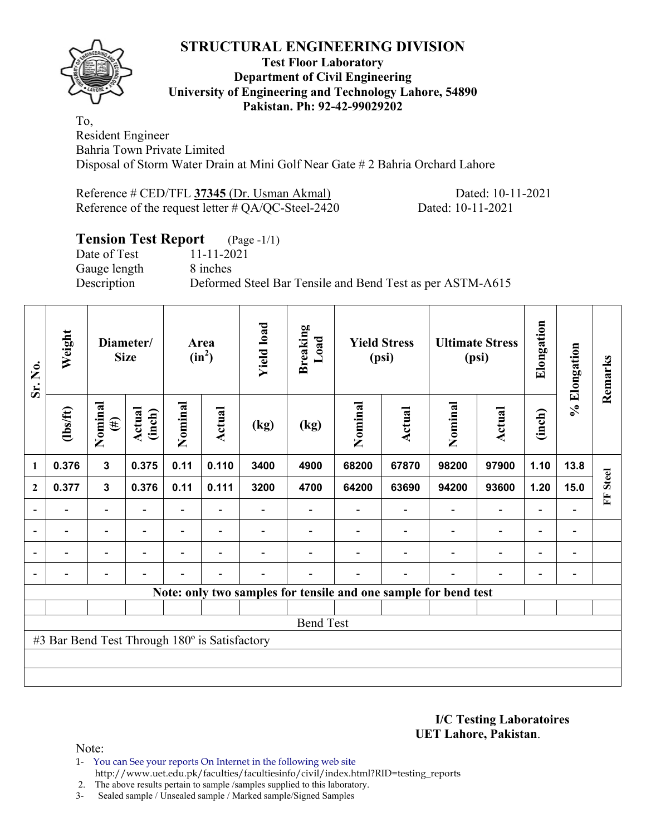

#### **Test Floor Laboratory Department of Civil Engineering University of Engineering and Technology Lahore, 54890 Pakistan. Ph: 92-42-99029202**

To, Resident Engineer Bahria Town Private Limited Disposal of Storm Water Drain at Mini Golf Near Gate # 2 Bahria Orchard Lahore

Reference # CED/TFL **37345** (Dr. Usman Akmal) Dated: 10-11-2021 Reference of the request letter # QA/QC-Steel-2420 Dated: 10-11-2021

# **Tension Test Report** (Page -1/1)

Date of Test 11-11-2021 Gauge length 8 inches

Description Deformed Steel Bar Tensile and Bend Test as per ASTM-A615

| Sr. No.                  | Weight                                        |                          | Diameter/<br><b>Size</b> |                          | Area<br>$(in^2)$         | <b>Yield load</b> | <b>Breaking</b><br>$\mathbf{L}\mathbf{0}\mathbf{a}\mathbf{d}$ |         | <b>Yield Stress</b><br>(psi) |                                                                 | <b>Ultimate Stress</b><br>(psi) | Elongation               | % Elongation             | Remarks           |
|--------------------------|-----------------------------------------------|--------------------------|--------------------------|--------------------------|--------------------------|-------------------|---------------------------------------------------------------|---------|------------------------------|-----------------------------------------------------------------|---------------------------------|--------------------------|--------------------------|-------------------|
|                          | (1bs/ft)                                      | Nominal<br>$(\#)$        | Actual<br>(inch)         | Nominal                  | Actual                   | (kg)              | (kg)                                                          | Nominal | Actual                       | Nominal                                                         | <b>Actual</b>                   | (inch)                   |                          |                   |
| $\mathbf{1}$             | 0.376                                         | 3                        | 0.375                    | 0.11                     | 0.110                    | 3400              | 4900                                                          | 68200   | 67870                        | 98200                                                           | 97900                           | 1.10                     | 13.8                     |                   |
| $\overline{2}$           | 0.377                                         | 3                        | 0.376                    | 0.11                     | 0.111                    | 3200              | 4700                                                          | 64200   | 63690                        | 94200                                                           | 93600                           | 1.20                     | 15.0                     | <b>Steel</b><br>Ě |
|                          |                                               | $\overline{\phantom{0}}$ |                          |                          |                          |                   |                                                               |         |                              |                                                                 | $\overline{\phantom{0}}$        | $\overline{\phantom{0}}$ |                          |                   |
| $\overline{\phantom{a}}$ |                                               | $\overline{\phantom{a}}$ | $\overline{\phantom{a}}$ | $\overline{\phantom{0}}$ | $\overline{\phantom{a}}$ |                   |                                                               |         | $\overline{\phantom{a}}$     | $\overline{\phantom{a}}$                                        | $\overline{\phantom{a}}$        | $\blacksquare$           | $\overline{\phantom{a}}$ |                   |
| $\overline{\phantom{a}}$ |                                               | $\overline{\phantom{0}}$ |                          | -                        | $\overline{\phantom{0}}$ |                   |                                                               |         |                              | $\overline{\phantom{0}}$                                        | $\overline{\phantom{a}}$        | $\overline{\phantom{a}}$ | $\overline{\phantom{a}}$ |                   |
|                          |                                               | $\overline{\phantom{0}}$ |                          | -                        | $\overline{\phantom{0}}$ |                   |                                                               |         |                              | $\overline{\phantom{0}}$                                        | $\overline{\phantom{0}}$        | $\overline{\phantom{a}}$ | $\overline{a}$           |                   |
|                          |                                               |                          |                          |                          |                          |                   |                                                               |         |                              | Note: only two samples for tensile and one sample for bend test |                                 |                          |                          |                   |
|                          |                                               |                          |                          |                          |                          |                   |                                                               |         |                              |                                                                 |                                 |                          |                          |                   |
|                          |                                               |                          |                          |                          |                          |                   | <b>Bend Test</b>                                              |         |                              |                                                                 |                                 |                          |                          |                   |
|                          | #3 Bar Bend Test Through 180° is Satisfactory |                          |                          |                          |                          |                   |                                                               |         |                              |                                                                 |                                 |                          |                          |                   |
|                          |                                               |                          |                          |                          |                          |                   |                                                               |         |                              |                                                                 |                                 |                          |                          |                   |
|                          |                                               |                          |                          |                          |                          |                   |                                                               |         |                              |                                                                 |                                 |                          |                          |                   |

**I/C Testing Laboratoires UET Lahore, Pakistan**.

Note:

1- You can See your reports On Internet in the following web site http://www.uet.edu.pk/faculties/facultiesinfo/civil/index.html?RID=testing\_reports

2. The above results pertain to sample /samples supplied to this laboratory.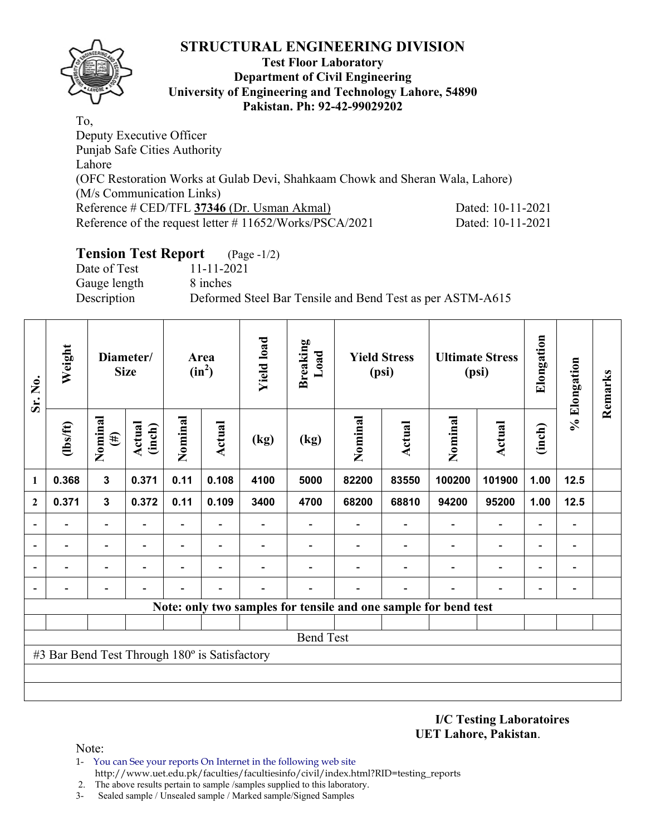

#### **Test Floor Laboratory Department of Civil Engineering University of Engineering and Technology Lahore, 54890 Pakistan. Ph: 92-42-99029202**

To, Deputy Executive Officer Punjab Safe Cities Authority Lahore (OFC Restoration Works at Gulab Devi, Shahkaam Chowk and Sheran Wala, Lahore) (M/s Communication Links) Reference # CED/TFL **37346** (Dr. Usman Akmal) Dated: 10-11-2021 Reference of the request letter # 11652/Works/PSCA/2021 Dated: 10-11-2021

# **Tension Test Report** (Page -1/2)

Date of Test 11-11-2021 Gauge length 8 inches

Description Deformed Steel Bar Tensile and Bend Test as per ASTM-A615

| Sr. No.      | Weight                                        |                          | Diameter/<br><b>Size</b> |                          | Area<br>$(in^2)$         | <b>Yield load</b> | <b>Breaking</b><br>Load                                         |         | <b>Yield Stress</b><br>(psi) |         | <b>Ultimate Stress</b><br>(psi) | Elongation               | % Elongation                 | Remarks |
|--------------|-----------------------------------------------|--------------------------|--------------------------|--------------------------|--------------------------|-------------------|-----------------------------------------------------------------|---------|------------------------------|---------|---------------------------------|--------------------------|------------------------------|---------|
|              | (1bs/ft)                                      | Nominal<br>$(\#)$        | Actual<br>(inch)         | Nominal                  | Actual                   | (kg)              | (kg)                                                            | Nominal | <b>Actual</b>                | Nominal | <b>Actual</b>                   | (inch)                   |                              |         |
| 1            | 0.368                                         | $\mathbf{3}$             | 0.371                    | 0.11                     | 0.108                    | 4100              | 5000                                                            | 82200   | 83550                        | 100200  | 101900                          | 1.00                     | 12.5                         |         |
| $\mathbf{2}$ | 0.371                                         | $\mathbf{3}$             | 0.372                    | 0.11                     | 0.109                    | 3400              | 4700                                                            | 68200   | 68810                        | 94200   | 95200                           | 1.00                     | $12.5$                       |         |
|              |                                               | $\overline{\phantom{0}}$ |                          | $\overline{\phantom{0}}$ | $\overline{\phantom{a}}$ |                   |                                                                 |         |                              |         | $\blacksquare$                  | $\overline{\phantom{0}}$ | $\qquad \qquad \blacksquare$ |         |
|              |                                               | -                        |                          | -                        | $\overline{\phantom{a}}$ |                   |                                                                 |         |                              |         | $\qquad \qquad \blacksquare$    | $\overline{\phantom{0}}$ | $\qquad \qquad$              |         |
|              |                                               | $\overline{\phantom{0}}$ |                          |                          | $\overline{\phantom{0}}$ |                   |                                                                 |         |                              |         |                                 | $\overline{\phantom{0}}$ | $\qquad \qquad \blacksquare$ |         |
|              |                                               |                          |                          |                          |                          |                   |                                                                 |         |                              |         |                                 |                          | $\qquad \qquad \blacksquare$ |         |
|              |                                               |                          |                          |                          |                          |                   | Note: only two samples for tensile and one sample for bend test |         |                              |         |                                 |                          |                              |         |
|              |                                               |                          |                          |                          |                          |                   |                                                                 |         |                              |         |                                 |                          |                              |         |
|              |                                               |                          |                          |                          |                          |                   | <b>Bend Test</b>                                                |         |                              |         |                                 |                          |                              |         |
|              | #3 Bar Bend Test Through 180° is Satisfactory |                          |                          |                          |                          |                   |                                                                 |         |                              |         |                                 |                          |                              |         |
|              |                                               |                          |                          |                          |                          |                   |                                                                 |         |                              |         |                                 |                          |                              |         |
|              |                                               |                          |                          |                          |                          |                   |                                                                 |         |                              |         |                                 |                          |                              |         |

**I/C Testing Laboratoires UET Lahore, Pakistan**.

- 1- You can See your reports On Internet in the following web site http://www.uet.edu.pk/faculties/facultiesinfo/civil/index.html?RID=testing\_reports
- 2. The above results pertain to sample /samples supplied to this laboratory.
- 3- Sealed sample / Unsealed sample / Marked sample/Signed Samples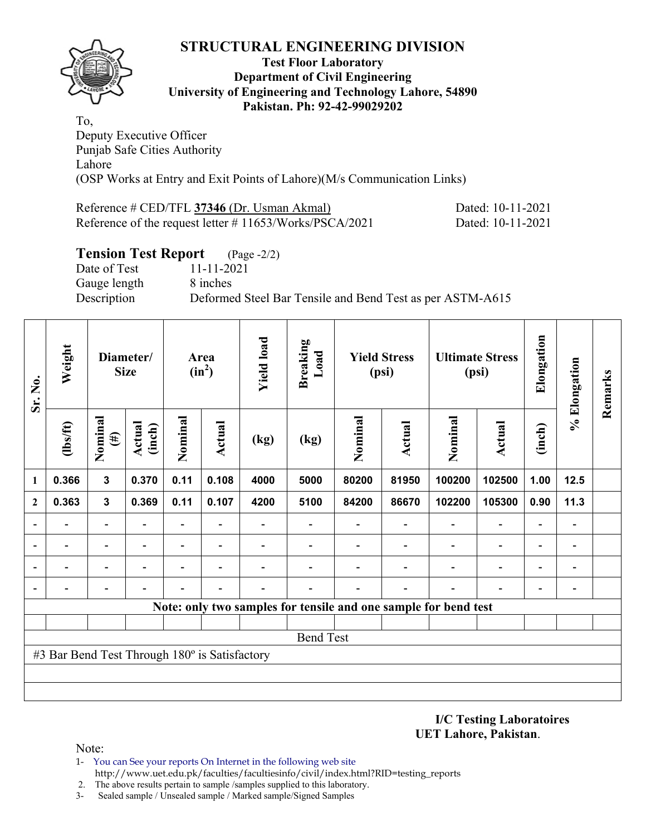

#### **Test Floor Laboratory Department of Civil Engineering University of Engineering and Technology Lahore, 54890 Pakistan. Ph: 92-42-99029202**

To, Deputy Executive Officer Punjab Safe Cities Authority Lahore (OSP Works at Entry and Exit Points of Lahore)(M/s Communication Links)

| Reference # CED/TFL 37346 (Dr. Usman Akmal)                | Dated: 10-11-2021 |
|------------------------------------------------------------|-------------------|
| Reference of the request letter $\#$ 11653/Works/PSCA/2021 | Dated: 10-11-2021 |

## **Tension Test Report** (Page -2/2)

Date of Test 11-11-2021 Gauge length 8 inches

Description Deformed Steel Bar Tensile and Bend Test as per ASTM-A615

| Sr. No.                                       | Weight                   | Diameter/<br><b>Size</b> |                  |                          |                          | Area<br>$(in^2)$ |                          | <b>Yield load</b> | <b>Breaking</b><br>Load  |                                                                 | <b>Yield Stress</b><br>(psi) |                          | <b>Ultimate Stress</b><br>(psi) | Elongation | % Elongation | Remarks |
|-----------------------------------------------|--------------------------|--------------------------|------------------|--------------------------|--------------------------|------------------|--------------------------|-------------------|--------------------------|-----------------------------------------------------------------|------------------------------|--------------------------|---------------------------------|------------|--------------|---------|
|                                               | $\frac{2}{10}$           | Nominal<br>$(\#)$        | Actual<br>(inch) | Nominal                  | Actual                   | (kg)             | (kg)                     | Nominal           | <b>Actual</b>            | Nominal                                                         | <b>Actual</b>                | (inch)                   |                                 |            |              |         |
| 1                                             | 0.366                    | $\mathbf{3}$             | 0.370            | 0.11                     | 0.108                    | 4000             | 5000                     | 80200             | 81950                    | 100200                                                          | 102500                       | 1.00                     | 12.5                            |            |              |         |
| $\mathbf{2}$                                  | 0.363                    | $\mathbf{3}$             | 0.369            | 0.11                     | 0.107                    | 4200             | 5100                     | 84200             | 86670                    | 102200                                                          | 105300                       | 0.90                     | 11.3                            |            |              |         |
|                                               | $\overline{\phantom{0}}$ | $\overline{\phantom{0}}$ |                  | $\overline{\phantom{a}}$ | Ξ.                       |                  | $\overline{\phantom{0}}$ |                   | $\overline{\phantom{a}}$ | $\overline{\phantom{a}}$                                        | $\overline{\phantom{a}}$     |                          | $\overline{\phantom{a}}$        |            |              |         |
|                                               |                          | -                        |                  | -                        | $\overline{\phantom{0}}$ |                  |                          |                   |                          |                                                                 | $\overline{\phantom{a}}$     | $\overline{\phantom{0}}$ | $\qquad \qquad \blacksquare$    |            |              |         |
|                                               |                          | $\overline{\phantom{0}}$ |                  | -                        |                          |                  |                          |                   |                          |                                                                 |                              |                          | $\blacksquare$                  |            |              |         |
|                                               |                          |                          |                  |                          |                          |                  |                          |                   |                          |                                                                 |                              |                          | $\qquad \qquad \blacksquare$    |            |              |         |
|                                               |                          |                          |                  |                          |                          |                  |                          |                   |                          | Note: only two samples for tensile and one sample for bend test |                              |                          |                                 |            |              |         |
|                                               |                          |                          |                  |                          |                          |                  |                          |                   |                          |                                                                 |                              |                          |                                 |            |              |         |
|                                               | <b>Bend Test</b>         |                          |                  |                          |                          |                  |                          |                   |                          |                                                                 |                              |                          |                                 |            |              |         |
| #3 Bar Bend Test Through 180° is Satisfactory |                          |                          |                  |                          |                          |                  |                          |                   |                          |                                                                 |                              |                          |                                 |            |              |         |
|                                               |                          |                          |                  |                          |                          |                  |                          |                   |                          |                                                                 |                              |                          |                                 |            |              |         |
|                                               |                          |                          |                  |                          |                          |                  |                          |                   |                          |                                                                 |                              |                          |                                 |            |              |         |

**I/C Testing Laboratoires UET Lahore, Pakistan**.

- 1- You can See your reports On Internet in the following web site http://www.uet.edu.pk/faculties/facultiesinfo/civil/index.html?RID=testing\_reports
- 2. The above results pertain to sample /samples supplied to this laboratory.
- 3- Sealed sample / Unsealed sample / Marked sample/Signed Samples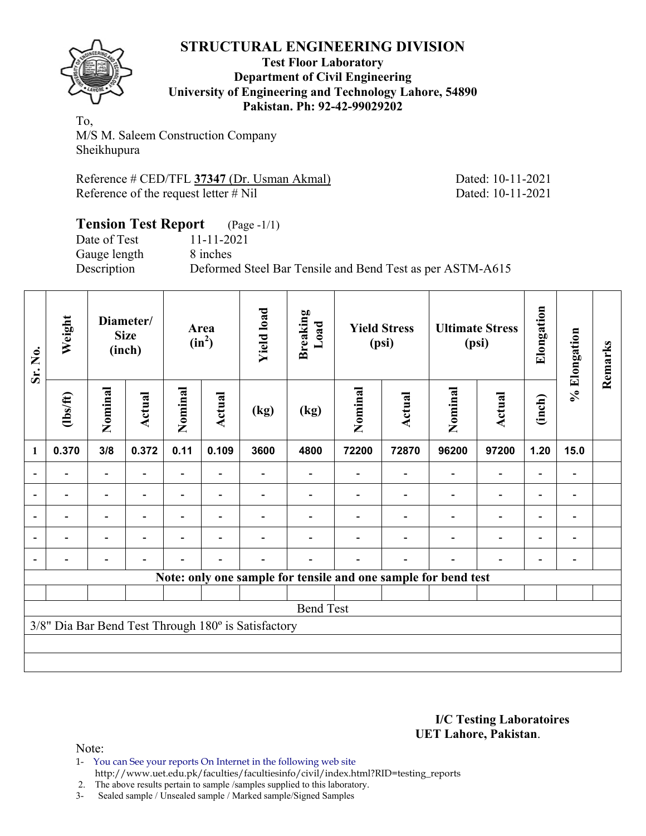

#### **Test Floor Laboratory Department of Civil Engineering University of Engineering and Technology Lahore, 54890 Pakistan. Ph: 92-42-99029202**

To, M/S M. Saleem Construction Company Sheikhupura

Reference # CED/TFL **37347** (Dr. Usman Akmal) Dated: 10-11-2021 Reference of the request letter # Nil Dated: 10-11-2021

#### **Tension Test Report** (Page -1/1) Date of Test 11-11-2021 Gauge length 8 inches Description Deformed Steel Bar Tensile and Bend Test as per ASTM-A615

| Sr. No.                                             | Weight         | Diameter/<br><b>Size</b><br>(inch) |                | Area<br>$(in^2)$ |                          | <b>Yield load</b><br><b>Breaking</b><br>Load<br><b>Yield Stress</b><br>(psi) |      | <b>Ultimate Stress</b><br>(psi) |                                                                | Elongation | % Elongation   | Remarks |                          |  |
|-----------------------------------------------------|----------------|------------------------------------|----------------|------------------|--------------------------|------------------------------------------------------------------------------|------|---------------------------------|----------------------------------------------------------------|------------|----------------|---------|--------------------------|--|
|                                                     | $\frac{2}{10}$ | Nominal                            | Actual         | Nominal          | Actual                   | (kg)                                                                         | (kg) | Nominal                         | <b>Actual</b>                                                  | Nominal    | <b>Actual</b>  | (inch)  |                          |  |
| 1                                                   | 0.370          | 3/8                                | 0.372          | 0.11             | 0.109                    | 3600                                                                         | 4800 | 72200                           | 72870                                                          | 96200      | 97200          | 1.20    | 15.0                     |  |
| $\blacksquare$                                      |                | $\overline{\phantom{a}}$           |                | Ξ.               | $\overline{\phantom{a}}$ |                                                                              |      |                                 |                                                                |            |                |         | $\overline{\phantom{a}}$ |  |
|                                                     |                | $\blacksquare$                     |                | $\blacksquare$   | $\overline{\phantom{a}}$ |                                                                              |      |                                 |                                                                |            |                |         | -                        |  |
| $\overline{a}$                                      |                | -                                  |                |                  | $\overline{\phantom{0}}$ |                                                                              |      |                                 |                                                                |            |                |         | -                        |  |
| $\overline{a}$                                      | -              | -                                  | $\blacksquare$ |                  | $\overline{\phantom{a}}$ |                                                                              |      |                                 |                                                                |            | $\blacksquare$ | ۰       | -                        |  |
| $\blacksquare$                                      | $\blacksquare$ | -                                  |                |                  | ۰                        |                                                                              |      |                                 |                                                                |            |                |         | -                        |  |
|                                                     |                |                                    |                |                  |                          |                                                                              |      |                                 | Note: only one sample for tensile and one sample for bend test |            |                |         |                          |  |
|                                                     |                |                                    |                |                  |                          |                                                                              |      |                                 |                                                                |            |                |         |                          |  |
| <b>Bend Test</b>                                    |                |                                    |                |                  |                          |                                                                              |      |                                 |                                                                |            |                |         |                          |  |
| 3/8" Dia Bar Bend Test Through 180° is Satisfactory |                |                                    |                |                  |                          |                                                                              |      |                                 |                                                                |            |                |         |                          |  |
|                                                     |                |                                    |                |                  |                          |                                                                              |      |                                 |                                                                |            |                |         |                          |  |
|                                                     |                |                                    |                |                  |                          |                                                                              |      |                                 |                                                                |            |                |         |                          |  |

**I/C Testing Laboratoires UET Lahore, Pakistan**.

Note:

1- You can See your reports On Internet in the following web site http://www.uet.edu.pk/faculties/facultiesinfo/civil/index.html?RID=testing\_reports

2. The above results pertain to sample /samples supplied to this laboratory.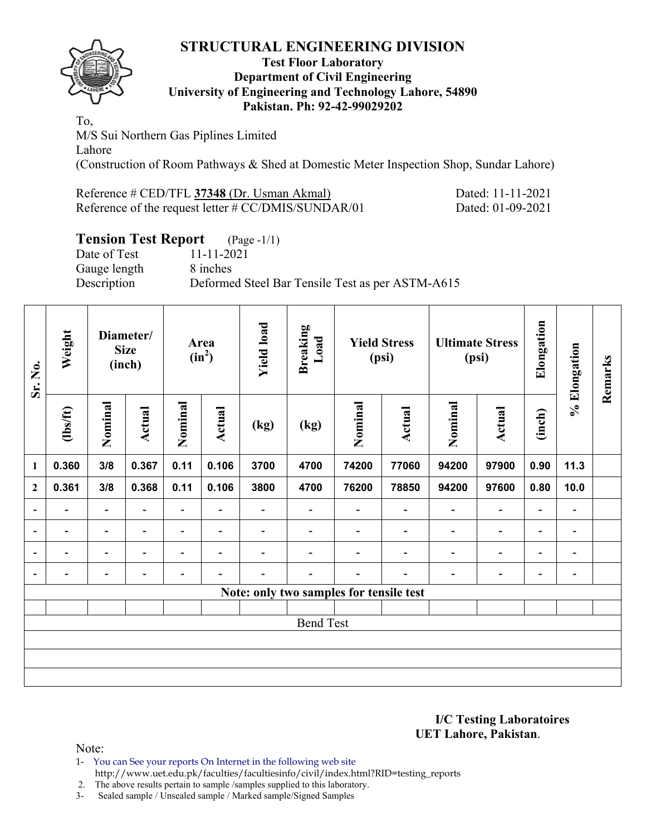

#### **Test Floor Laboratory Department of Civil Engineering University of Engineering and Technology Lahore, 54890 Pakistan. Ph: 92-42-99029202**

To, M/S Sui Northern Gas Piplines Limited Lahore (Construction of Room Pathways & Shed at Domestic Meter Inspection Shop, Sundar Lahore)

| Reference # CED/TFL 37348 (Dr. Usman Akmal)            | Dated: 11-11-2021 |
|--------------------------------------------------------|-------------------|
| Reference of the request letter $\# CC/DMIS/SUNDAR/01$ | Dated: 01-09-2021 |

# **Tension Test Report** (Page -1/1)

Date of Test 11-11-2021 Gauge length 8 inches Description Deformed Steel Bar Tensile Test as per ASTM-A615

| Sr. No.                  | Weight                   | Diameter/<br><b>Size</b><br>(inch) |                          | Area<br>$(in^2)$             |                          | <b>Yield load</b> | <b>Breaking</b><br>Load                 | <b>Yield Stress</b><br>(psi) |                          | <b>Ultimate Stress</b><br>(psi) |                              | Elongation               | % Elongation             | Remarks |
|--------------------------|--------------------------|------------------------------------|--------------------------|------------------------------|--------------------------|-------------------|-----------------------------------------|------------------------------|--------------------------|---------------------------------|------------------------------|--------------------------|--------------------------|---------|
|                          | $\frac{2}{10}$           | Nominal                            | Actual                   | Nominal                      | <b>Actual</b>            | (kg)              | $\left(\text{kg}\right)$                | Nominal                      | Actual                   | Nominal                         | Actual                       | (inch)                   |                          |         |
| 1                        | 0.360                    | 3/8                                | 0.367                    | 0.11                         | 0.106                    | 3700              | 4700                                    | 74200                        | 77060                    | 94200                           | 97900                        | 0.90                     | 11.3                     |         |
| $\mathbf{2}$             | 0.361                    | 3/8                                | 0.368                    | 0.11                         | 0.106                    | 3800              | 4700                                    | 76200                        | 78850                    | 94200                           | 97600                        | 0.80                     | 10.0                     |         |
| $\overline{\phantom{a}}$ | $\overline{\phantom{0}}$ | $\qquad \qquad \blacksquare$       | $\overline{a}$           | $\overline{a}$               | $\overline{a}$           |                   |                                         |                              | $\overline{\phantom{0}}$ | $\overline{a}$                  | $\overline{\phantom{a}}$     | $\overline{\phantom{a}}$ |                          |         |
| $\overline{\phantom{a}}$ | $\blacksquare$           | $\blacksquare$                     | $\blacksquare$           | $\qquad \qquad \blacksquare$ | $\overline{\phantom{a}}$ |                   |                                         | $\overline{\phantom{0}}$     | $\blacksquare$           | $\qquad \qquad \blacksquare$    | $\overline{\phantom{a}}$     | $\overline{\phantom{a}}$ | $\overline{\phantom{a}}$ |         |
| $\overline{\phantom{a}}$ |                          | ٠                                  |                          |                              | $\overline{\phantom{0}}$ |                   |                                         |                              | $\blacksquare$           | $\overline{\phantom{0}}$        | $\qquad \qquad \blacksquare$ | $\overline{\phantom{a}}$ | $\overline{\phantom{0}}$ |         |
| $\blacksquare$           |                          |                                    | $\overline{\phantom{0}}$ |                              | $\overline{\phantom{0}}$ |                   |                                         | $\overline{\phantom{0}}$     |                          |                                 | $\qquad \qquad \blacksquare$ | $\overline{\phantom{a}}$ | $\blacksquare$           |         |
|                          |                          |                                    |                          |                              |                          |                   | Note: only two samples for tensile test |                              |                          |                                 |                              |                          |                          |         |
|                          |                          |                                    |                          |                              |                          |                   |                                         |                              |                          |                                 |                              |                          |                          |         |
|                          | <b>Bend Test</b>         |                                    |                          |                              |                          |                   |                                         |                              |                          |                                 |                              |                          |                          |         |
|                          |                          |                                    |                          |                              |                          |                   |                                         |                              |                          |                                 |                              |                          |                          |         |
|                          |                          |                                    |                          |                              |                          |                   |                                         |                              |                          |                                 |                              |                          |                          |         |
|                          |                          |                                    |                          |                              |                          |                   |                                         |                              |                          |                                 |                              |                          |                          |         |

**I/C Testing Laboratoires UET Lahore, Pakistan**.

Note:

1- You can See your reports On Internet in the following web site http://www.uet.edu.pk/faculties/facultiesinfo/civil/index.html?RID=testing\_reports

2. The above results pertain to sample /samples supplied to this laboratory.